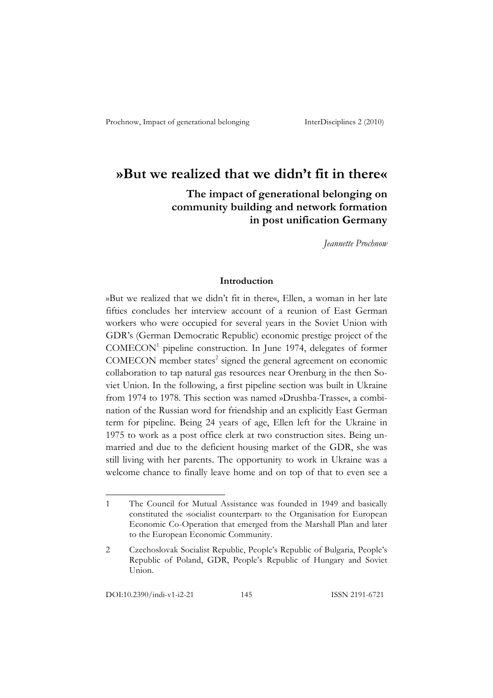# **»But we realized that we didn't fit in there«**

 **The impact of generational belonging on community building and network formation in post unification Germany** 

*Jeannette Prochnow*

### **Introduction**

»But we realized that we didn't fit in there«, Ellen, a woman in her late fifties concludes her interview account of a reunion of East German workers who were occupied for several years in the Soviet Union with GDR's (German Democratic Republic) economic prestige project of the COMECON<sup>1</sup> pipeline construction. In June 1974, delegates of former COMECON member states<sup>2</sup> signed the general agreement on economic collaboration to tap natural gas resources near Orenburg in the then Soviet Union. In the following, a first pipeline section was built in Ukraine from 1974 to 1978. This section was named »Drushba-Trasse«, a combination of the Russian word for friendship and an explicitly East German term for pipeline. Being 24 years of age, Ellen left for the Ukraine in 1975 to work as a post office clerk at two construction sites. Being unmarried and due to the deficient housing market of the GDR, she was still living with her parents. The opportunity to work in Ukraine was a welcome chance to finally leave home and on top of that to even see a

<sup>1</sup> The Council for Mutual Assistance was founded in 1949 and basically constituted the ›socialist counterpart‹ to the Organisation for European Economic Co-Operation that emerged from the Marshall Plan and later to the European Economic Community.

<sup>2</sup> Czechoslovak Socialist Republic, People's Republic of Bulgaria, People's Republic of Poland, GDR, People's Republic of Hungary and Soviet Union.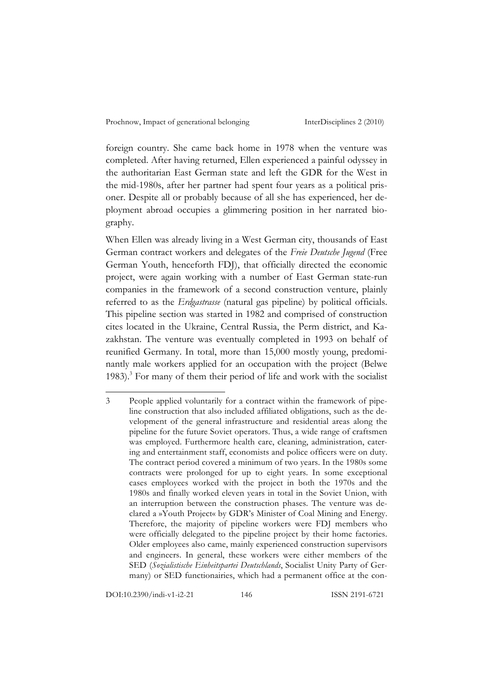foreign country. She came back home in 1978 when the venture was completed. After having returned, Ellen experienced a painful odyssey in the authoritarian East German state and left the GDR for the West in the mid-1980s, after her partner had spent four years as a political prisoner. Despite all or probably because of all she has experienced, her deployment abroad occupies a glimmering position in her narrated biography.

When Ellen was already living in a West German city, thousands of East German contract workers and delegates of the *Freie Deutsche Jugend* (Free German Youth, henceforth FDJ), that officially directed the economic project, were again working with a number of East German state-run companies in the framework of a second construction venture, plainly referred to as the *Erdgastrasse* (natural gas pipeline) by political officials. This pipeline section was started in 1982 and comprised of construction cites located in the Ukraine, Central Russia, the Perm district, and Kazakhstan. The venture was eventually completed in 1993 on behalf of reunified Germany. In total, more than 15,000 mostly young, predominantly male workers applied for an occupation with the project (Belwe 1983).<sup>3</sup> For many of them their period of life and work with the socialist

DOI:10.2390/indi-v1-i2-21 146 ISSN 2191-6721

<sup>3</sup> People applied voluntarily for a contract within the framework of pipeline construction that also included affiliated obligations, such as the development of the general infrastructure and residential areas along the pipeline for the future Soviet operators. Thus, a wide range of craftsmen was employed. Furthermore health care, cleaning, administration, catering and entertainment staff, economists and police officers were on duty. The contract period covered a minimum of two years. In the 1980s some contracts were prolonged for up to eight years. In some exceptional cases employees worked with the project in both the 1970s and the 1980s and finally worked eleven years in total in the Soviet Union, with an interruption between the construction phases. The venture was declared a »Youth Project« by GDR's Minister of Coal Mining and Energy. Therefore, the majority of pipeline workers were FDJ members who were officially delegated to the pipeline project by their home factories. Older employees also came, mainly experienced construction supervisors and engineers. In general, these workers were either members of the SED (*Sozialistische Einheitspartei Deutschlands*, Socialist Unity Party of Germany) or SED functionairies, which had a permanent office at the con-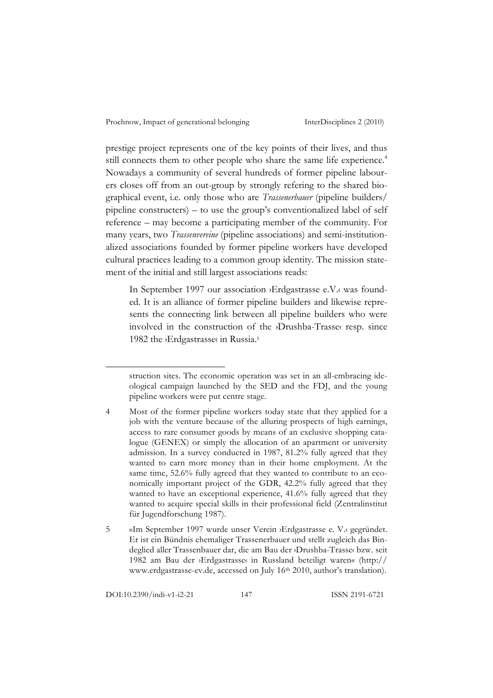prestige project represents one of the key points of their lives, and thus still connects them to other people who share the same life experience.<sup>4</sup> Nowadays a community of several hundreds of former pipeline labourers closes off from an out-group by strongly refering to the shared biographical event, i.e. only those who are *Trassenerbauer* (pipeline builders/ pipeline constructers) – to use the group's conventionalized label of self reference – may become a participating member of the community. For many years, two *Trassenvereine* (pipeline associations) and semi-institutionalized associations founded by former pipeline workers have developed cultural practices leading to a common group identity. The mission statement of the initial and still largest associations reads:

In September 1997 our association ›Erdgastrasse e.V.‹ was founded. It is an alliance of former pipeline builders and likewise represents the connecting link between all pipeline builders who were involved in the construction of the ›Drushba-Trasse‹ resp. since 1982 the ›Erdgastrasse‹ in Russia.<sup>5</sup>

struction sites. The economic operation was set in an all-embracing ideological campaign launched by the SED and the FDJ, and the young pipeline workers were put centre stage.

<sup>4</sup> Most of the former pipeline workers today state that they applied for a job with the venture because of the alluring prospects of high earnings, access to rare consumer goods by means of an exclusive shopping catalogue (GENEX) or simply the allocation of an apartment or university admission. In a survey conducted in 1987, 81.2% fully agreed that they wanted to earn more money than in their home employment. At the same time, 52.6% fully agreed that they wanted to contribute to an economically important project of the GDR, 42.2% fully agreed that they wanted to have an exceptional experience, 41.6% fully agreed that they wanted to acquire special skills in their professional field (Zentralinstitut für Jugendforschung 1987).

<sup>5</sup> »Im September 1997 wurde unser Verein ›Erdgastrasse e. V.‹ gegründet. Er ist ein Bündnis ehemaliger Trassenerbauer und stellt zugleich das Bindeglied aller Trassenbauer dar, die am Bau der ›Drushba-Trasse‹ bzw. seit 1982 am Bau der ›Erdgastrasse‹ in Russland beteiligt waren« (http:// www.erdgastrasse-ev.de, accessed on July 16<sup>th</sup> 2010, author's translation).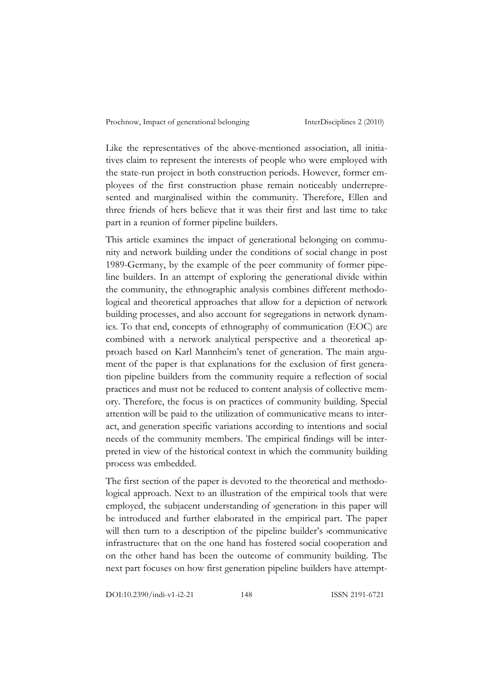Like the representatives of the above-mentioned association, all initiatives claim to represent the interests of people who were employed with the state-run project in both construction periods. However, former employees of the first construction phase remain noticeably underrepresented and marginalised within the community. Therefore, Ellen and three friends of hers believe that it was their first and last time to take part in a reunion of former pipeline builders.

This article examines the impact of generational belonging on community and network building under the conditions of social change in post 1989-Germany, by the example of the peer community of former pipeline builders. In an attempt of exploring the generational divide within the community, the ethnographic analysis combines different methodological and theoretical approaches that allow for a depiction of network building processes, and also account for segregations in network dynamics. To that end, concepts of ethnography of communication (EOC) are combined with a network analytical perspective and a theoretical approach based on Karl Mannheim's tenet of generation. The main argument of the paper is that explanations for the exclusion of first generation pipeline builders from the community require a reflection of social practices and must not be reduced to content analysis of collective memory. Therefore, the focus is on practices of community building. Special attention will be paid to the utilization of communicative means to interact, and generation specific variations according to intentions and social needs of the community members. The empirical findings will be interpreted in view of the historical context in which the community building process was embedded.

The first section of the paper is devoted to the theoretical and methodological approach. Next to an illustration of the empirical tools that were employed, the subjacent understanding of ›generation‹ in this paper will be introduced and further elaborated in the empirical part. The paper will then turn to a description of the pipeline builder's *>*communicative infrastructure‹ that on the one hand has fostered social cooperation and on the other hand has been the outcome of community building. The next part focuses on how first generation pipeline builders have attempt-

DOI:10.2390/indi-v1-i2-21 148 ISSN 2191-6721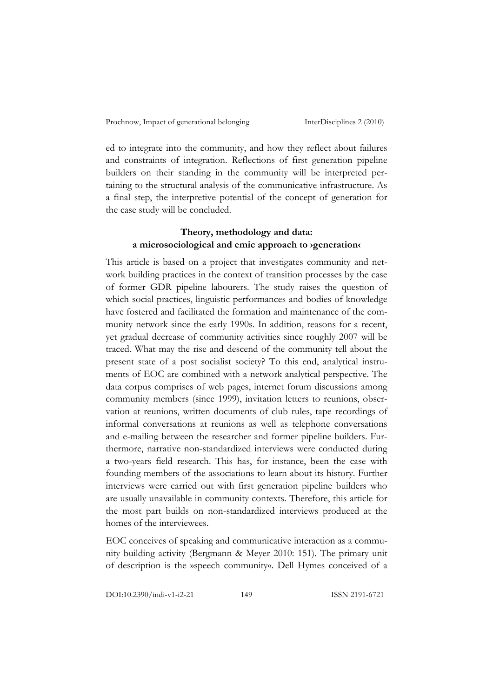ed to integrate into the community, and how they reflect about failures and constraints of integration. Reflections of first generation pipeline builders on their standing in the community will be interpreted pertaining to the structural analysis of the communicative infrastructure. As a final step, the interpretive potential of the concept of generation for the case study will be concluded.

# **Theory, methodology and data: a microsociological and emic approach to ›generation‹**

This article is based on a project that investigates community and network building practices in the context of transition processes by the case of former GDR pipeline labourers. The study raises the question of which social practices, linguistic performances and bodies of knowledge have fostered and facilitated the formation and maintenance of the community network since the early 1990s. In addition, reasons for a recent, yet gradual decrease of community activities since roughly 2007 will be traced. What may the rise and descend of the community tell about the present state of a post socialist society? To this end, analytical instruments of EOC are combined with a network analytical perspective. The data corpus comprises of web pages, internet forum discussions among community members (since 1999), invitation letters to reunions, observation at reunions, written documents of club rules, tape recordings of informal conversations at reunions as well as telephone conversations and e-mailing between the researcher and former pipeline builders. Furthermore, narrative non-standardized interviews were conducted during a two-years field research. This has, for instance, been the case with founding members of the associations to learn about its history. Further interviews were carried out with first generation pipeline builders who are usually unavailable in community contexts. Therefore, this article for the most part builds on non-standardized interviews produced at the homes of the interviewees.

EOC conceives of speaking and communicative interaction as a community building activity (Bergmann & Meyer 2010: 151). The primary unit of description is the »speech community«. Dell Hymes conceived of a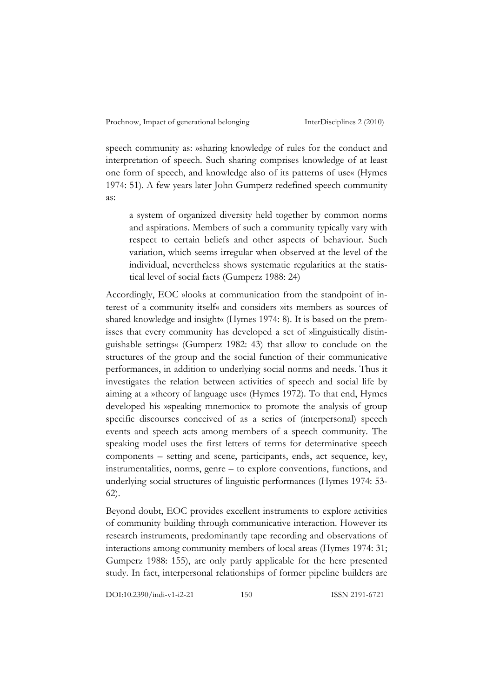speech community as: »sharing knowledge of rules for the conduct and interpretation of speech. Such sharing comprises knowledge of at least one form of speech, and knowledge also of its patterns of use« (Hymes 1974: 51). A few years later John Gumperz redefined speech community as:

a system of organized diversity held together by common norms and aspirations. Members of such a community typically vary with respect to certain beliefs and other aspects of behaviour. Such variation, which seems irregular when observed at the level of the individual, nevertheless shows systematic regularities at the statistical level of social facts (Gumperz 1988: 24)

Accordingly, EOC »looks at communication from the standpoint of interest of a community itself« and considers »its members as sources of shared knowledge and insight« (Hymes 1974: 8). It is based on the premisses that every community has developed a set of »linguistically distinguishable settings« (Gumperz 1982: 43) that allow to conclude on the structures of the group and the social function of their communicative performances, in addition to underlying social norms and needs. Thus it investigates the relation between activities of speech and social life by aiming at a »theory of language use« (Hymes 1972). To that end, Hymes developed his »speaking mnemonic« to promote the analysis of group specific discourses conceived of as a series of (interpersonal) speech events and speech acts among members of a speech community. The speaking model uses the first letters of terms for determinative speech components – setting and scene, participants, ends, act sequence, key, instrumentalities, norms, genre – to explore conventions, functions, and underlying social structures of linguistic performances (Hymes 1974: 53- 62).

Beyond doubt, EOC provides excellent instruments to explore activities of community building through communicative interaction. However its research instruments, predominantly tape recording and observations of interactions among community members of local areas (Hymes 1974: 31; Gumperz 1988: 155), are only partly applicable for the here presented study. In fact, interpersonal relationships of former pipeline builders are

DOI:10.2390/indi-v1-i2-21 150 ISSN 2191-6721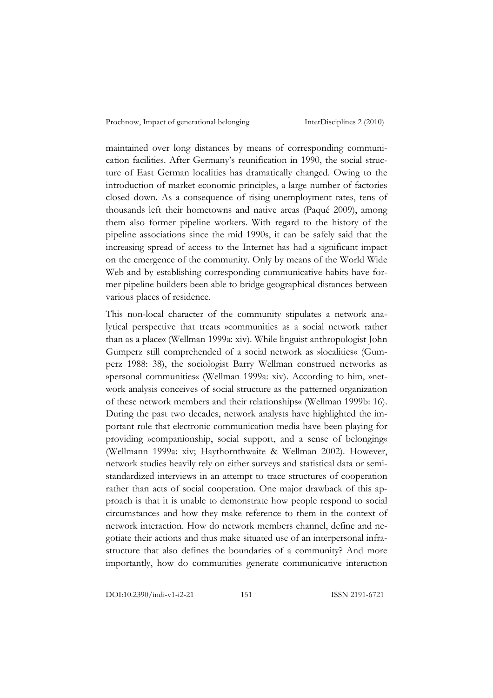maintained over long distances by means of corresponding communication facilities. After Germany's reunification in 1990, the social structure of East German localities has dramatically changed. Owing to the introduction of market economic principles, a large number of factories closed down. As a consequence of rising unemployment rates, tens of thousands left their hometowns and native areas (Paqué 2009), among them also former pipeline workers. With regard to the history of the pipeline associations since the mid 1990s, it can be safely said that the increasing spread of access to the Internet has had a significant impact on the emergence of the community. Only by means of the World Wide Web and by establishing corresponding communicative habits have former pipeline builders been able to bridge geographical distances between various places of residence.

This non-local character of the community stipulates a network analytical perspective that treats »communities as a social network rather than as a place« (Wellman 1999a: xiv). While linguist anthropologist John Gumperz still comprehended of a social network as »localities« (Gumperz 1988: 38), the sociologist Barry Wellman construed networks as »personal communities« (Wellman 1999a: xiv). According to him, »network analysis conceives of social structure as the patterned organization of these network members and their relationships« (Wellman 1999b: 16). During the past two decades, network analysts have highlighted the important role that electronic communication media have been playing for providing »companionship, social support, and a sense of belonging« (Wellmann 1999a: xiv; Haythornthwaite & Wellman 2002). However, network studies heavily rely on either surveys and statistical data or semistandardized interviews in an attempt to trace structures of cooperation rather than acts of social cooperation. One major drawback of this approach is that it is unable to demonstrate how people respond to social circumstances and how they make reference to them in the context of network interaction. How do network members channel, define and negotiate their actions and thus make situated use of an interpersonal infrastructure that also defines the boundaries of a community? And more importantly, how do communities generate communicative interaction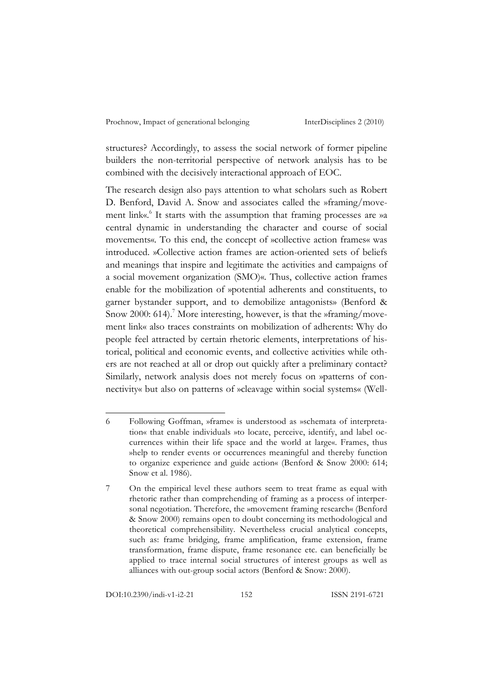structures? Accordingly, to assess the social network of former pipeline builders the non-territorial perspective of network analysis has to be combined with the decisively interactional approach of EOC.

The research design also pays attention to what scholars such as Robert D. Benford, David A. Snow and associates called the »framing/movement link«.<sup>6</sup> It starts with the assumption that framing processes are »a central dynamic in understanding the character and course of social movements«. To this end, the concept of »collective action frames« was introduced. »Collective action frames are action-oriented sets of beliefs and meanings that inspire and legitimate the activities and campaigns of a social movement organization (SMO)«. Thus, collective action frames enable for the mobilization of »potential adherents and constituents, to garner bystander support, and to demobilize antagonists» (Benford & Snow 2000: 614).<sup>7</sup> More interesting, however, is that the »framing/movement link« also traces constraints on mobilization of adherents: Why do people feel attracted by certain rhetoric elements, interpretations of historical, political and economic events, and collective activities while others are not reached at all or drop out quickly after a preliminary contact? Similarly, network analysis does not merely focus on »patterns of connectivity« but also on patterns of »cleavage within social systems« (Well-

<sup>6</sup> Following Goffman, »frame« is understood as »schemata of interpretation« that enable individuals »to locate, perceive, identify, and label occurrences within their life space and the world at large«. Frames, thus »help to render events or occurrences meaningful and thereby function to organize experience and guide action« (Benford & Snow 2000: 614; Snow et al. 1986).

<sup>7</sup> On the empirical level these authors seem to treat frame as equal with rhetoric rather than comprehending of framing as a process of interpersonal negotiation. Therefore, the »movement framing research« (Benford & Snow 2000) remains open to doubt concerning its methodological and theoretical comprehensibility. Nevertheless crucial analytical concepts, such as: frame bridging, frame amplification, frame extension, frame transformation, frame dispute, frame resonance etc. can beneficially be applied to trace internal social structures of interest groups as well as alliances with out-group social actors (Benford & Snow: 2000).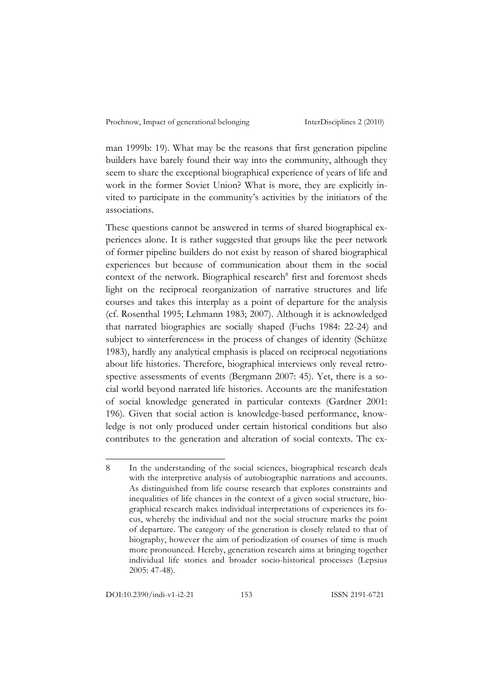man 1999b: 19). What may be the reasons that first generation pipeline builders have barely found their way into the community, although they seem to share the exceptional biographical experience of years of life and work in the former Soviet Union? What is more, they are explicitly invited to participate in the community's activities by the initiators of the associations.

These questions cannot be answered in terms of shared biographical experiences alone. It is rather suggested that groups like the peer network of former pipeline builders do not exist by reason of shared biographical experiences but because of communication about them in the social context of the network. Biographical research<sup>8</sup> first and foremost sheds light on the reciprocal reorganization of narrative structures and life courses and takes this interplay as a point of departure for the analysis (cf. Rosenthal 1995; Lehmann 1983; 2007). Although it is acknowledged that narrated biographies are socially shaped (Fuchs 1984: 22-24) and subject to »interferences« in the process of changes of identity (Schütze 1983), hardly any analytical emphasis is placed on reciprocal negotiations about life histories. Therefore, biographical interviews only reveal retrospective assessments of events (Bergmann 2007: 45). Yet, there is a social world beyond narrated life histories. Accounts are the manifestation of social knowledge generated in particular contexts (Gardner 2001: 196). Given that social action is knowledge-based performance, knowledge is not only produced under certain historical conditions but also contributes to the generation and alteration of social contexts. The ex-

<sup>8</sup> In the understanding of the social sciences, biographical research deals with the interpretive analysis of autobiographic narrations and accounts. As distinguished from life course research that explores constraints and inequalities of life chances in the context of a given social structure, biographical research makes individual interpretations of experiences its focus, whereby the individual and not the social structure marks the point of departure. The category of the generation is closely related to that of biography, however the aim of periodization of courses of time is much more pronounced. Hereby, generation research aims at bringing together individual life stories and broader socio-historical processes (Lepsius 2005: 47-48).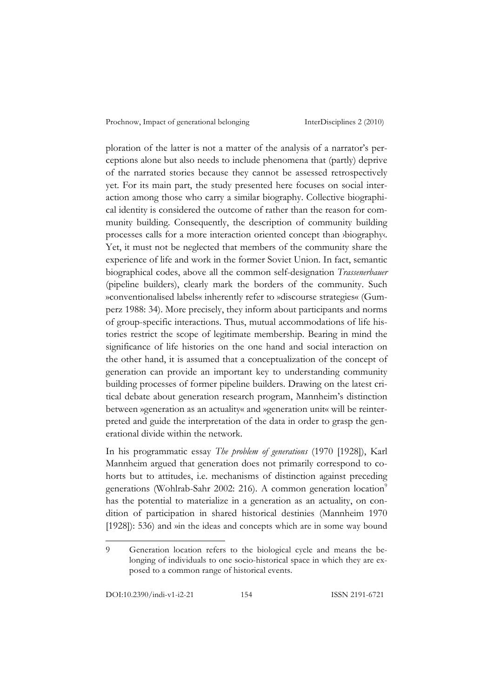ploration of the latter is not a matter of the analysis of a narrator's perceptions alone but also needs to include phenomena that (partly) deprive of the narrated stories because they cannot be assessed retrospectively yet. For its main part, the study presented here focuses on social interaction among those who carry a similar biography. Collective biographical identity is considered the outcome of rather than the reason for community building. Consequently, the description of community building processes calls for a more interaction oriented concept than ›biography‹. Yet, it must not be neglected that members of the community share the experience of life and work in the former Soviet Union. In fact, semantic biographical codes, above all the common self-designation *Trassenerbauer* (pipeline builders), clearly mark the borders of the community. Such »conventionalised labels« inherently refer to »discourse strategies« (Gumperz 1988: 34). More precisely, they inform about participants and norms of group-specific interactions. Thus, mutual accommodations of life histories restrict the scope of legitimate membership. Bearing in mind the significance of life histories on the one hand and social interaction on the other hand, it is assumed that a conceptualization of the concept of generation can provide an important key to understanding community building processes of former pipeline builders. Drawing on the latest critical debate about generation research program, Mannheim's distinction between »generation as an actuality« and »generation unit« will be reinterpreted and guide the interpretation of the data in order to grasp the generational divide within the network.

In his programmatic essay *The problem of generations* (1970 [1928]), Karl Mannheim argued that generation does not primarily correspond to cohorts but to attitudes, i.e. mechanisms of distinction against preceding generations (Wohlrab-Sahr 2002: 216). A common generation location<sup>9</sup> has the potential to materialize in a generation as an actuality, on condition of participation in shared historical destinies (Mannheim 1970 [1928]): 536) and win the ideas and concepts which are in some way bound

DOI:10.2390/indi-v1-i2-21 154 ISSN 2191-6721

<sup>9</sup> Generation location refers to the biological cycle and means the belonging of individuals to one socio-historical space in which they are exposed to a common range of historical events.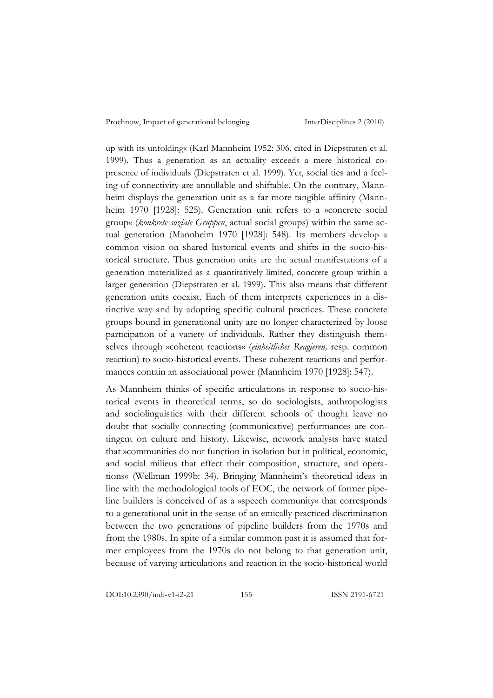up with its unfolding« (Karl Mannheim 1952: 306, cited in Diepstraten et al. 1999). Thus a generation as an actuality exceeds a mere historical copresence of individuals (Diepstraten et al. 1999). Yet, social ties and a feeling of connectivity are annullable and shiftable. On the contrary, Mannheim displays the generation unit as a far more tangible affinity (Mannheim 1970 [1928]: 525). Generation unit refers to a »concrete social group« (*konkrete soziale Gruppen*, actual social groups) within the same actual generation (Mannheim 1970 [1928]: 548). Its members develop a common vision on shared historical events and shifts in the socio-historical structure. Thus generation units are the actual manifestations of a generation materialized as a quantitatively limited, concrete group within a larger generation (Diepstraten et al. 1999). This also means that different generation units coexist. Each of them interprets experiences in a distinctive way and by adopting specific cultural practices. These concrete groups bound in generational unity are no longer characterized by loose participation of a variety of individuals. Rather they distinguish themselves through »coherent reactions« (*einheitliches Reagieren,* resp. common reaction) to socio-historical events. These coherent reactions and performances contain an associational power (Mannheim 1970 [1928]: 547).

As Mannheim thinks of specific articulations in response to socio-historical events in theoretical terms, so do sociologists, anthropologists and sociolinguistics with their different schools of thought leave no doubt that socially connecting (communicative) performances are contingent on culture and history. Likewise, network analysts have stated that »communities do not function in isolation but in political, economic, and social milieus that effect their composition, structure, and operations« (Wellman 1999b: 34). Bringing Mannheim's theoretical ideas in line with the methodological tools of EOC, the network of former pipeline builders is conceived of as a »speech community« that corresponds to a generational unit in the sense of an emically practiced discrimination between the two generations of pipeline builders from the 1970s and from the 1980s. In spite of a similar common past it is assumed that former employees from the 1970s do not belong to that generation unit, because of varying articulations and reaction in the socio-historical world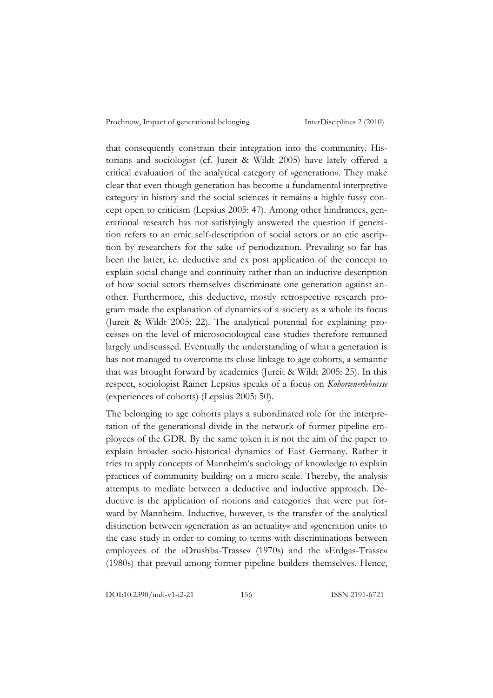that consequently constrain their integration into the community. Historians and sociologist (cf. Jureit & Wildt 2005) have lately offered a critical evaluation of the analytical category of »generation«. They make clear that even though generation has become a fundamental interpretive category in history and the social sciences it remains a highly fussy concept open to criticism (Lepsius 2005: 47). Among other hindrances, generational research has not satisfyingly answered the question if generation refers to an emic self-description of social actors or an etic ascription by researchers for the sake of periodization. Prevailing so far has been the latter, i.e. deductive and ex post application of the concept to explain social change and continuity rather than an inductive description of how social actors themselves discriminate one generation against another. Furthermore, this deductive, mostly retrospective research program made the explanation of dynamics of a society as a whole its focus (Jureit & Wildt 2005: 22). The analytical potential for explaining processes on the level of microsociological case studies therefore remained largely undiscussed. Eventually the understanding of what a generation is has not managed to overcome its close linkage to age cohorts, a semantic that was brought forward by academics (Jureit & Wildt 2005: 25). In this respect, sociologist Rainer Lepsius speaks of a focus on *Kohortenerlebnisse* (experiences of cohorts) (Lepsius 2005: 50).

The belonging to age cohorts plays a subordinated role for the interpretation of the generational divide in the network of former pipeline employees of the GDR. By the same token it is not the aim of the paper to explain broader socio-historical dynamics of East Germany. Rather it tries to apply concepts of Mannheim's sociology of knowledge to explain practices of community building on a micro scale. Thereby, the analysis attempts to mediate between a deductive and inductive approach. Deductive is the application of notions and categories that were put forward by Mannheim. Inductive, however, is the transfer of the analytical distinction between »generation as an actuality« and »generation unit« to the case study in order to coming to terms with discriminations between employees of the »Drushba-Trasse« (1970s) and the »Erdgas-Trasse« (1980s) that prevail among former pipeline builders themselves. Hence,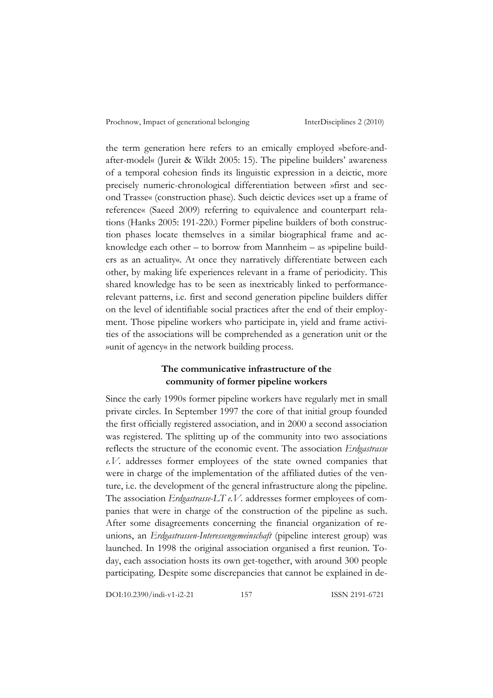the term generation here refers to an emically employed »before-andafter-model« (Jureit & Wildt 2005: 15). The pipeline builders' awareness of a temporal cohesion finds its linguistic expression in a deictic, more precisely numeric-chronological differentiation between »first and second Trasse« (construction phase). Such deictic devices »set up a frame of reference« (Saeed 2009) referring to equivalence and counterpart relations (Hanks 2005: 191-220.) Former pipeline builders of both construction phases locate themselves in a similar biographical frame and acknowledge each other – to borrow from Mannheim – as »pipeline builders as an actuality«. At once they narratively differentiate between each other, by making life experiences relevant in a frame of periodicity. This shared knowledge has to be seen as inextricably linked to performancerelevant patterns, i.e. first and second generation pipeline builders differ on the level of identifiable social practices after the end of their employment. Those pipeline workers who participate in, yield and frame activities of the associations will be comprehended as a generation unit or the »unit of agency« in the network building process.

# **The communicative infrastructure of the community of former pipeline workers**

Since the early 1990s former pipeline workers have regularly met in small private circles. In September 1997 the core of that initial group founded the first officially registered association, and in 2000 a second association was registered. The splitting up of the community into two associations reflects the structure of the economic event. The association *Erdgastrasse e.V.* addresses former employees of the state owned companies that were in charge of the implementation of the affiliated duties of the venture, i.e. the development of the general infrastructure along the pipeline. The association *Erdgastrasse-LT e.V.* addresses former employees of companies that were in charge of the construction of the pipeline as such. After some disagreements concerning the financial organization of reunions, an *Erdgastrassen-Interessengemeinschaft* (pipeline interest group) was launched. In 1998 the original association organised a first reunion. Today, each association hosts its own get-together, with around 300 people participating. Despite some discrepancies that cannot be explained in de-

DOI:10.2390/indi-v1-i2-21 157 ISSN 2191-6721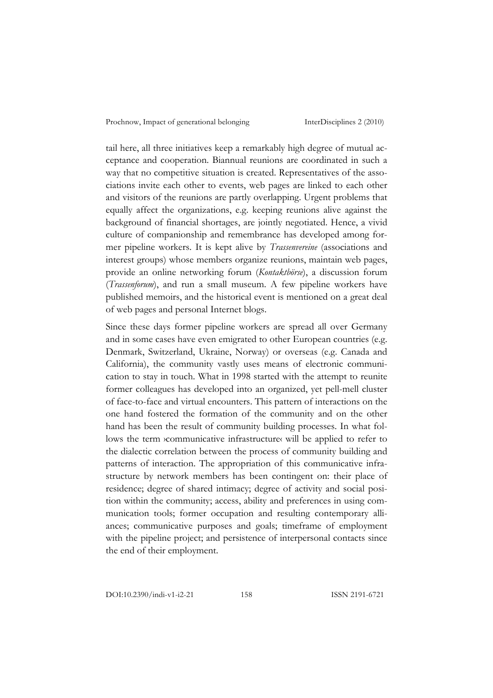tail here, all three initiatives keep a remarkably high degree of mutual acceptance and cooperation. Biannual reunions are coordinated in such a way that no competitive situation is created. Representatives of the associations invite each other to events, web pages are linked to each other and visitors of the reunions are partly overlapping. Urgent problems that equally affect the organizations, e.g. keeping reunions alive against the background of financial shortages, are jointly negotiated. Hence, a vivid culture of companionship and remembrance has developed among former pipeline workers. It is kept alive by *Trassenvereine* (associations and interest groups) whose members organize reunions, maintain web pages, provide an online networking forum (*Kontaktbörse*), a discussion forum (*Trassenforum*), and run a small museum. A few pipeline workers have published memoirs, and the historical event is mentioned on a great deal of web pages and personal Internet blogs.

Since these days former pipeline workers are spread all over Germany and in some cases have even emigrated to other European countries (e.g. Denmark, Switzerland, Ukraine, Norway) or overseas (e.g. Canada and California), the community vastly uses means of electronic communication to stay in touch. What in 1998 started with the attempt to reunite former colleagues has developed into an organized, yet pell-mell cluster of face-to-face and virtual encounters. This pattern of interactions on the one hand fostered the formation of the community and on the other hand has been the result of community building processes. In what follows the term *>*communicative infrastructure< will be applied to refer to the dialectic correlation between the process of community building and patterns of interaction. The appropriation of this communicative infrastructure by network members has been contingent on: their place of residence; degree of shared intimacy; degree of activity and social position within the community; access, ability and preferences in using communication tools; former occupation and resulting contemporary alliances; communicative purposes and goals; timeframe of employment with the pipeline project; and persistence of interpersonal contacts since the end of their employment.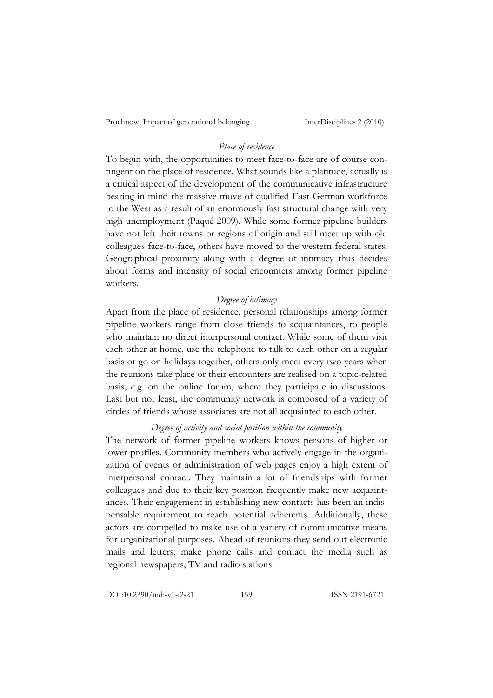## *Place of residence*

To begin with, the opportunities to meet face-to-face are of course contingent on the place of residence. What sounds like a platitude, actually is a critical aspect of the development of the communicative infrastructure bearing in mind the massive move of qualified East German workforce to the West as a result of an enormously fast structural change with very high unemployment (Paqué 2009). While some former pipeline builders have not left their towns or regions of origin and still meet up with old colleagues face-to-face, others have moved to the western federal states. Geographical proximity along with a degree of intimacy thus decides about forms and intensity of social encounters among former pipeline workers.

### *Degree of intimacy*

Apart from the place of residence, personal relationships among former pipeline workers range from close friends to acquaintances, to people who maintain no direct interpersonal contact. While some of them visit each other at home, use the telephone to talk to each other on a regular basis or go on holidays together, others only meet every two years when the reunions take place or their encounters are realised on a topic-related basis, e.g. on the online forum, where they participate in discussions. Last but not least, the community network is composed of a variety of circles of friends whose associates are not all acquainted to each other.

### *Degree of activity and social position within the community*

The network of former pipeline workers knows persons of higher or lower profiles. Community members who actively engage in the organization of events or administration of web pages enjoy a high extent of interpersonal contact. They maintain a lot of friendships with former colleagues and due to their key position frequently make new acquaintances. Their engagement in establishing new contacts has been an indispensable requirement to reach potential adherents. Additionally, these actors are compelled to make use of a variety of communicative means for organizational purposes. Ahead of reunions they send out electronic mails and letters, make phone calls and contact the media such as regional newspapers, TV and radio stations.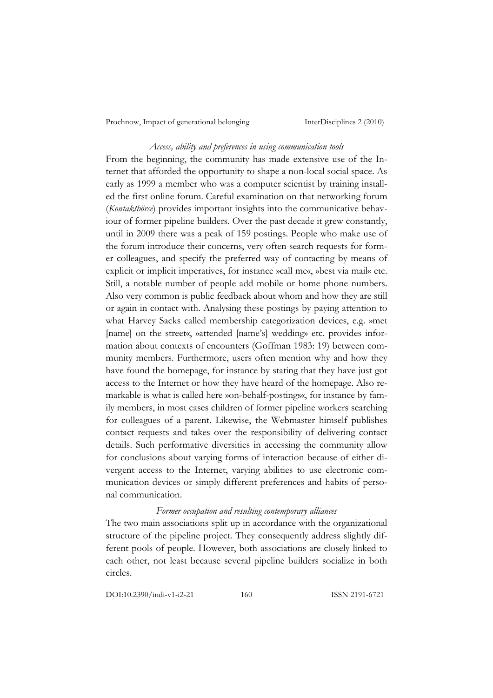#### *Access, ability and preferences in using communication tools*

From the beginning, the community has made extensive use of the Internet that afforded the opportunity to shape a non-local social space. As early as 1999 a member who was a computer scientist by training installed the first online forum. Careful examination on that networking forum (*Kontaktbörse*) provides important insights into the communicative behaviour of former pipeline builders. Over the past decade it grew constantly, until in 2009 there was a peak of 159 postings. People who make use of the forum introduce their concerns, very often search requests for former colleagues, and specify the preferred way of contacting by means of explicit or implicit imperatives, for instance »call me«, »best via mail« etc. Still, a notable number of people add mobile or home phone numbers. Also very common is public feedback about whom and how they are still or again in contact with. Analysing these postings by paying attention to what Harvey Sacks called membership categorization devices, e.g. »met [name] on the street«, »attended [name's] wedding» etc. provides information about contexts of encounters (Goffman 1983: 19) between community members. Furthermore, users often mention why and how they have found the homepage, for instance by stating that they have just got access to the Internet or how they have heard of the homepage. Also remarkable is what is called here »on-behalf-postings«, for instance by family members, in most cases children of former pipeline workers searching for colleagues of a parent. Likewise, the Webmaster himself publishes contact requests and takes over the responsibility of delivering contact details. Such performative diversities in accessing the community allow for conclusions about varying forms of interaction because of either divergent access to the Internet, varying abilities to use electronic communication devices or simply different preferences and habits of personal communication.

#### *Former occupation and resulting contemporary alliances*

The two main associations split up in accordance with the organizational structure of the pipeline project. They consequently address slightly different pools of people. However, both associations are closely linked to each other, not least because several pipeline builders socialize in both circles.

DOI:10.2390/indi-v1-i2-21 160 ISSN 2191-6721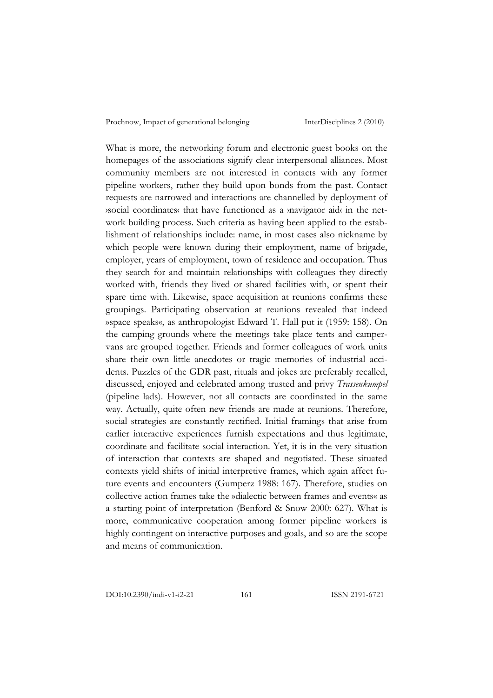What is more, the networking forum and electronic guest books on the homepages of the associations signify clear interpersonal alliances. Most community members are not interested in contacts with any former pipeline workers, rather they build upon bonds from the past. Contact requests are narrowed and interactions are channelled by deployment of ›social coordinates‹ that have functioned as a ›navigator aid‹ in the network building process. Such criteria as having been applied to the establishment of relationships include: name, in most cases also nickname by which people were known during their employment, name of brigade, employer, years of employment, town of residence and occupation. Thus they search for and maintain relationships with colleagues they directly worked with, friends they lived or shared facilities with, or spent their spare time with. Likewise, space acquisition at reunions confirms these groupings. Participating observation at reunions revealed that indeed »space speaks«, as anthropologist Edward T. Hall put it (1959: 158). On the camping grounds where the meetings take place tents and campervans are grouped together. Friends and former colleagues of work units share their own little anecdotes or tragic memories of industrial accidents. Puzzles of the GDR past, rituals and jokes are preferably recalled, discussed, enjoyed and celebrated among trusted and privy *Trassenkumpel* (pipeline lads). However, not all contacts are coordinated in the same way. Actually, quite often new friends are made at reunions. Therefore, social strategies are constantly rectified. Initial framings that arise from earlier interactive experiences furnish expectations and thus legitimate, coordinate and facilitate social interaction. Yet, it is in the very situation of interaction that contexts are shaped and negotiated. These situated contexts yield shifts of initial interpretive frames, which again affect future events and encounters (Gumperz 1988: 167). Therefore, studies on collective action frames take the »dialectic between frames and events« as a starting point of interpretation (Benford & Snow 2000: 627). What is more, communicative cooperation among former pipeline workers is highly contingent on interactive purposes and goals, and so are the scope and means of communication.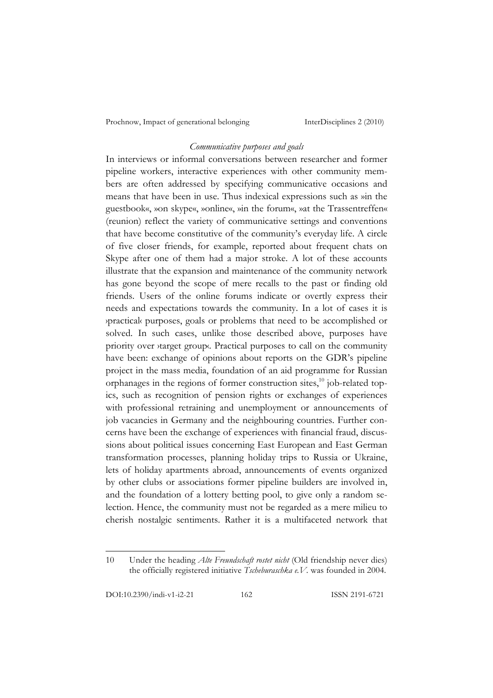### *Communicative purposes and goals*

In interviews or informal conversations between researcher and former pipeline workers, interactive experiences with other community members are often addressed by specifying communicative occasions and means that have been in use. Thus indexical expressions such as »in the guestbook«, »on skype«, »online«, »in the forum«, »at the Trassentreffen« (reunion) reflect the variety of communicative settings and conventions that have become constitutive of the community's everyday life. A circle of five closer friends, for example, reported about frequent chats on Skype after one of them had a major stroke. A lot of these accounts illustrate that the expansion and maintenance of the community network has gone beyond the scope of mere recalls to the past or finding old friends. Users of the online forums indicate or overtly express their needs and expectations towards the community. In a lot of cases it is ›practical‹ purposes, goals or problems that need to be accomplished or solved. In such cases, unlike those described above, purposes have priority over *starget group*. Practical purposes to call on the community have been: exchange of opinions about reports on the GDR's pipeline project in the mass media, foundation of an aid programme for Russian orphanages in the regions of former construction sites, 10 job-related topics, such as recognition of pension rights or exchanges of experiences with professional retraining and unemployment or announcements of job vacancies in Germany and the neighbouring countries. Further concerns have been the exchange of experiences with financial fraud, discussions about political issues concerning East European and East German transformation processes, planning holiday trips to Russia or Ukraine, lets of holiday apartments abroad, announcements of events organized by other clubs or associations former pipeline builders are involved in, and the foundation of a lottery betting pool, to give only a random selection. Hence, the community must not be regarded as a mere milieu to cherish nostalgic sentiments. Rather it is a multifaceted network that

<sup>10</sup> Under the heading *Alte Freundschaft rostet nicht* (Old friendship never dies) the officially registered initiative *Tscheburaschka e.V.* was founded in 2004.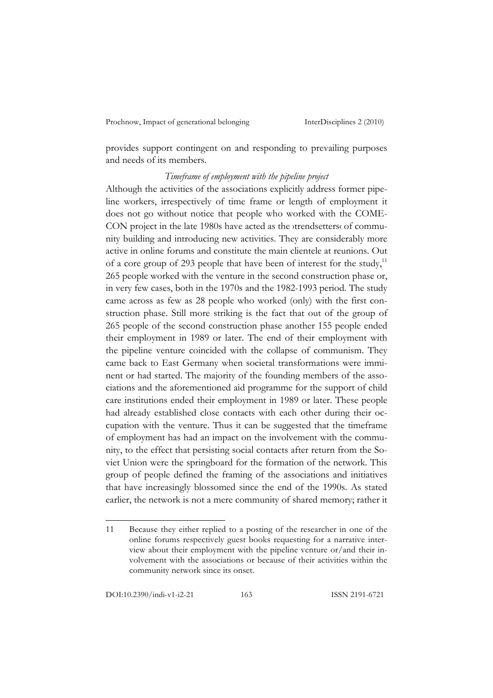provides support contingent on and responding to prevailing purposes and needs of its members.

## *Timeframe of employment with the pipeline project*

Although the activities of the associations explicitly address former pipeline workers, irrespectively of time frame or length of employment it does not go without notice that people who worked with the COME-CON project in the late 1980s have acted as the ›trendsetters‹ of community building and introducing new activities. They are considerably more active in online forums and constitute the main clientele at reunions. Out of a core group of 293 people that have been of interest for the study,<sup>11</sup> 265 people worked with the venture in the second construction phase or, in very few cases, both in the 1970s and the 1982-1993 period. The study came across as few as 28 people who worked (only) with the first construction phase. Still more striking is the fact that out of the group of 265 people of the second construction phase another 155 people ended their employment in 1989 or later. The end of their employment with the pipeline venture coincided with the collapse of communism. They came back to East Germany when societal transformations were imminent or had started. The majority of the founding members of the associations and the aforementioned aid programme for the support of child care institutions ended their employment in 1989 or later. These people had already established close contacts with each other during their occupation with the venture. Thus it can be suggested that the timeframe of employment has had an impact on the involvement with the community, to the effect that persisting social contacts after return from the Soviet Union were the springboard for the formation of the network. This group of people defined the framing of the associations and initiatives that have increasingly blossomed since the end of the 1990s. As stated earlier, the network is not a mere community of shared memory; rather it

<sup>11</sup> Because they either replied to a posting of the researcher in one of the online forums respectively guest books requesting for a narrative interview about their employment with the pipeline venture or/and their involvement with the associations or because of their activities within the community network since its onset.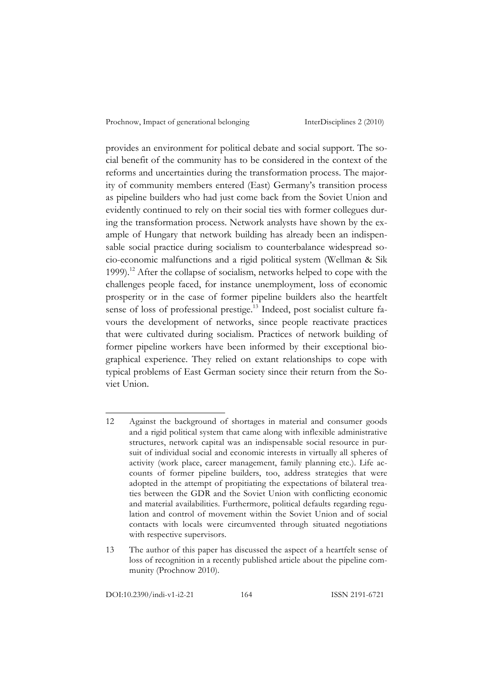provides an environment for political debate and social support. The social benefit of the community has to be considered in the context of the reforms and uncertainties during the transformation process. The majority of community members entered (East) Germany's transition process as pipeline builders who had just come back from the Soviet Union and evidently continued to rely on their social ties with former collegues during the transformation process. Network analysts have shown by the example of Hungary that network building has already been an indispensable social practice during socialism to counterbalance widespread socio-economic malfunctions and a rigid political system (Wellman & Sik 1999).12 After the collapse of socialism, networks helped to cope with the challenges people faced, for instance unemployment, loss of economic prosperity or in the case of former pipeline builders also the heartfelt sense of loss of professional prestige. 13 Indeed, post socialist culture favours the development of networks, since people reactivate practices that were cultivated during socialism. Practices of network building of former pipeline workers have been informed by their exceptional biographical experience. They relied on extant relationships to cope with typical problems of East German society since their return from the Soviet Union.

DOI:10.2390/indi-v1-i2-21 164 ISSN 2191-6721

<sup>12</sup> Against the background of shortages in material and consumer goods and a rigid political system that came along with inflexible administrative structures, network capital was an indispensable social resource in pursuit of individual social and economic interests in virtually all spheres of activity (work place, career management, family planning etc.). Life accounts of former pipeline builders, too, address strategies that were adopted in the attempt of propitiating the expectations of bilateral treaties between the GDR and the Soviet Union with conflicting economic and material availabilities. Furthermore, political defaults regarding regulation and control of movement within the Soviet Union and of social contacts with locals were circumvented through situated negotiations with respective supervisors.

<sup>13</sup> The author of this paper has discussed the aspect of a heartfelt sense of loss of recognition in a recently published article about the pipeline community (Prochnow 2010).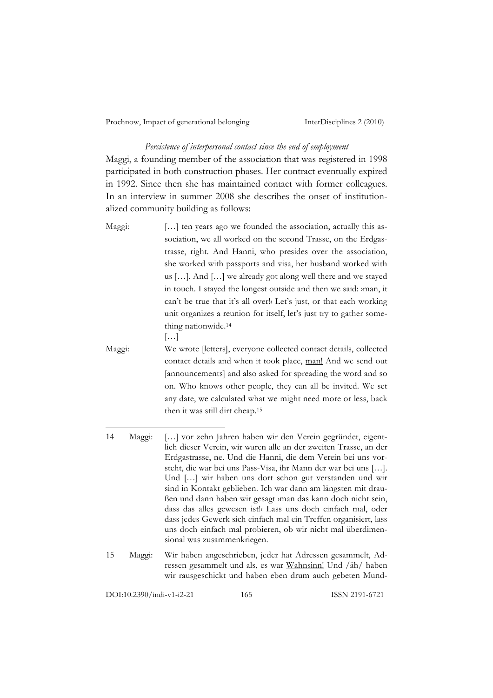#### *Persistence of interpersonal contact since the end of employment*

Maggi, a founding member of the association that was registered in 1998 participated in both construction phases. Her contract eventually expired in 1992. Since then she has maintained contact with former colleagues. In an interview in summer 2008 she describes the onset of institutionalized community building as follows:

- Maggi: [...] ten years ago we founded the association, actually this association, we all worked on the second Trasse, on the Erdgastrasse, right. And Hanni, who presides over the association, she worked with passports and visa, her husband worked with us […]. And […] we already got along well there and we stayed in touch. I stayed the longest outside and then we said: ›man, it can't be true that it's all over!‹ Let's just, or that each working unit organizes a reunion for itself, let's just try to gather something nationwide.14 […]
- Maggi: We wrote [letters], everyone collected contact details, collected contact details and when it took place, man! And we send out [announcements] and also asked for spreading the word and so on. Who knows other people, they can all be invited. We set any date, we calculated what we might need more or less, back then it was still dirt cheap.15
- 14 Maggi: […] vor zehn Jahren haben wir den Verein gegründet, eigentlich dieser Verein, wir waren alle an der zweiten Trasse, an der Erdgastrasse, ne. Und die Hanni, die dem Verein bei uns vorsteht, die war bei uns Pass-Visa, ihr Mann der war bei uns […]. Und […] wir haben uns dort schon gut verstanden und wir sind in Kontakt geblieben. Ich war dann am längsten mit draußen und dann haben wir gesagt ›man das kann doch nicht sein, dass das alles gewesen ist!‹ Lass uns doch einfach mal, oder dass jedes Gewerk sich einfach mal ein Treffen organisiert, lass uns doch einfach mal probieren, ob wir nicht mal überdimensional was zusammenkriegen.
- 15 Maggi: Wir haben angeschrieben, jeder hat Adressen gesammelt, Adressen gesammelt und als, es war Wahnsinn! Und /äh/ haben wir rausgeschickt und haben eben drum auch gebeten Mund-

DOI:10.2390/indi-v1-i2-21 165 ISSN 2191-6721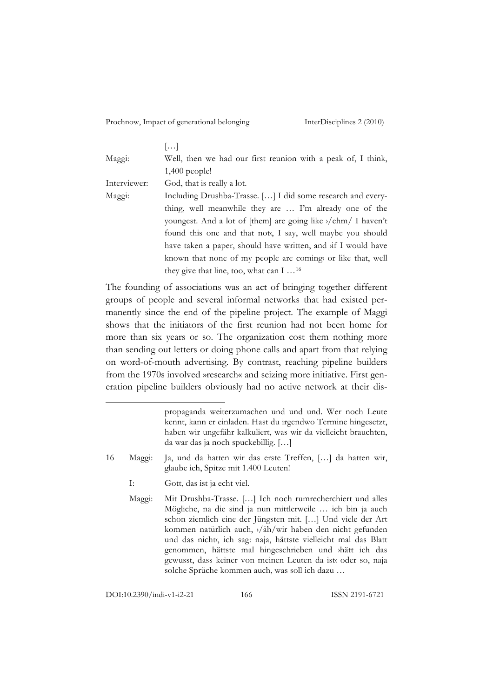|              | ا…ا                                                                                  |
|--------------|--------------------------------------------------------------------------------------|
| Maggi:       | Well, then we had our first reunion with a peak of, I think,                         |
|              | $1,400$ people!                                                                      |
| Interviewer: | God, that is really a lot.                                                           |
| Maggi:       | Including Drushba-Trasse. [] I did some research and every-                          |
|              | thing, well meanwhile they are  I'm already one of the                               |
|              | youngest. And a lot of [them] are going like $\frac{\partial}{\partial h}$ 1 haven't |
|              | found this one and that note, I say, well maybe you should                           |
|              | have taken a paper, should have written, and if I would have                         |
|              | known that none of my people are comings or like that, well                          |
|              | they give that line, too, what can $I \dots^{16}$                                    |

The founding of associations was an act of bringing together different groups of people and several informal networks that had existed permanently since the end of the pipeline project. The example of Maggi shows that the initiators of the first reunion had not been home for more than six years or so. The organization cost them nothing more than sending out letters or doing phone calls and apart from that relying on word-of-mouth advertising. By contrast, reaching pipeline builders from the 1970s involved »research« and seizing more initiative. First generation pipeline builders obviously had no active network at their dis-

- 16 Maggi: Ja, und da hatten wir das erste Treffen, […] da hatten wir, glaube ich, Spitze mit 1.400 Leuten!
	- I: Gott, das ist ja echt viel.
	- Maggi: Mit Drushba-Trasse. […] Ich noch rumrecherchiert und alles Mögliche, na die sind ja nun mittlerweile … ich bin ja auch schon ziemlich eine der Jüngsten mit. […] Und viele der Art kommen natürlich auch, ›/äh/wir haben den nicht gefunden und das nicht«, ich sag: naja, hättste vielleicht mal das Blatt genommen, hättste mal hingeschrieben und ›hätt ich das gewusst, dass keiner von meinen Leuten da ist« oder so, naja solche Sprüche kommen auch, was soll ich dazu …

DOI:10.2390/indi-v1-i2-21 166 ISSN 2191-6721

l

propaganda weiterzumachen und und und. Wer noch Leute kennt, kann er einladen. Hast du irgendwo Termine hingesetzt, haben wir ungefähr kalkuliert, was wir da vielleicht brauchten, da war das ja noch spuckebillig. […]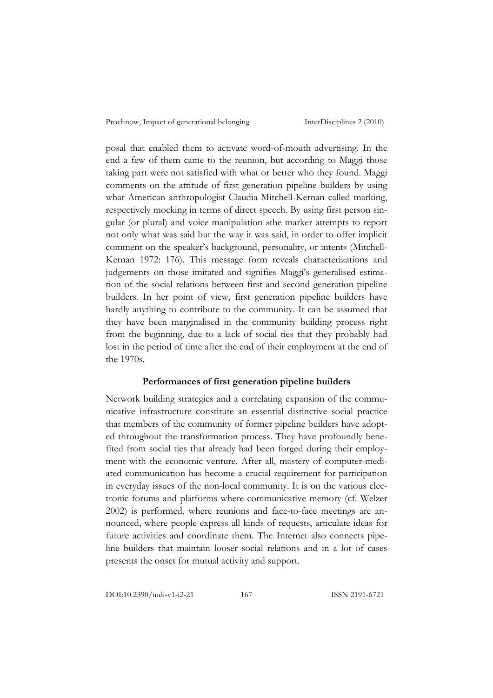posal that enabled them to activate word-of-mouth advertising. In the end a few of them came to the reunion, but according to Maggi those taking part were not satisfied with what or better who they found. Maggi comments on the attitude of first generation pipeline builders by using what American anthropologist Claudia Mitchell-Kernan called marking, respectively mocking in terms of direct speech. By using first person singular (or plural) and voice manipulation »the marker attempts to report not only what was said but the way it was said, in order to offer implicit comment on the speaker's background, personality, or intent« (Mitchell-Kernan 1972: 176). This message form reveals characterizations and judgements on those imitated and signifies Maggi's generalised estimation of the social relations between first and second generation pipeline builders. In her point of view, first generation pipeline builders have hardly anything to contribute to the community. It can be assumed that they have been marginalised in the community building process right from the beginning, due to a lack of social ties that they probably had lost in the period of time after the end of their employment at the end of the 1970s.

#### **Performances of first generation pipeline builders**

Network building strategies and a correlating expansion of the communicative infrastructure constitute an essential distinctive social practice that members of the community of former pipeline builders have adopted throughout the transformation process. They have profoundly benefited from social ties that already had been forged during their employment with the economic venture. After all, mastery of computer-mediated communication has become a crucial requirement for participation in everyday issues of the non-local community. It is on the various electronic forums and platforms where communicative memory (cf. Welzer 2002) is performed, where reunions and face-to-face meetings are announced, where people express all kinds of requests, articulate ideas for future activities and coordinate them. The Internet also connects pipeline builders that maintain looser social relations and in a lot of cases presents the onset for mutual activity and support.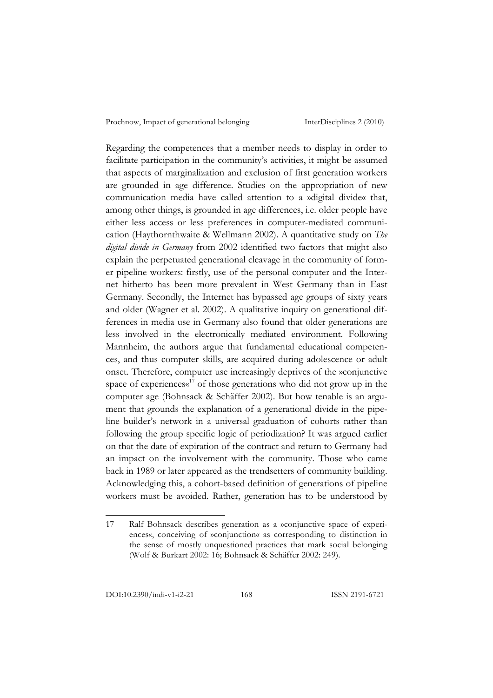Regarding the competences that a member needs to display in order to facilitate participation in the community's activities, it might be assumed that aspects of marginalization and exclusion of first generation workers are grounded in age difference. Studies on the appropriation of new communication media have called attention to a »digital divide« that, among other things, is grounded in age differences, i.e. older people have either less access or less preferences in computer-mediated communication (Haythornthwaite & Wellmann 2002). A quantitative study on *The digital divide in Germany* from 2002 identified two factors that might also explain the perpetuated generational cleavage in the community of former pipeline workers: firstly, use of the personal computer and the Internet hitherto has been more prevalent in West Germany than in East Germany. Secondly, the Internet has bypassed age groups of sixty years and older (Wagner et al. 2002). A qualitative inquiry on generational differences in media use in Germany also found that older generations are less involved in the electronically mediated environment. Following Mannheim, the authors argue that fundamental educational competences, and thus computer skills, are acquired during adolescence or adult onset. Therefore, computer use increasingly deprives of the »conjunctive space of experiences $\alpha^{17}$  of those generations who did not grow up in the computer age (Bohnsack & Schäffer 2002). But how tenable is an argument that grounds the explanation of a generational divide in the pipeline builder's network in a universal graduation of cohorts rather than following the group specific logic of periodization? It was argued earlier on that the date of expiration of the contract and return to Germany had an impact on the involvement with the community. Those who came back in 1989 or later appeared as the trendsetters of community building. Acknowledging this, a cohort-based definition of generations of pipeline workers must be avoided. Rather, generation has to be understood by

<sup>17</sup> Ralf Bohnsack describes generation as a »conjunctive space of experiences«, conceiving of »conjunction« as corresponding to distinction in the sense of mostly unquestioned practices that mark social belonging (Wolf & Burkart 2002: 16; Bohnsack & Schäffer 2002: 249).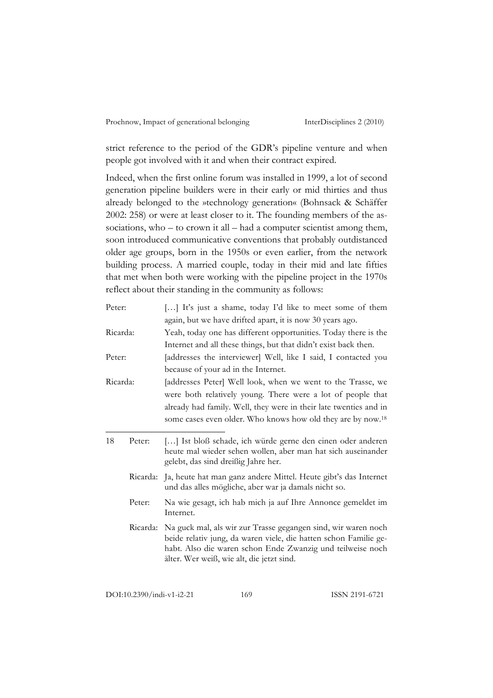strict reference to the period of the GDR's pipeline venture and when people got involved with it and when their contract expired.

Indeed, when the first online forum was installed in 1999, a lot of second generation pipeline builders were in their early or mid thirties and thus already belonged to the »technology generation« (Bohnsack & Schäffer 2002: 258) or were at least closer to it. The founding members of the associations, who – to crown it all – had a computer scientist among them, soon introduced communicative conventions that probably outdistanced older age groups, born in the 1950s or even earlier, from the network building process. A married couple, today in their mid and late fifties that met when both were working with the pipeline project in the 1970s reflect about their standing in the community as follows:

| Peter:   |          | [] It's just a shame, today I'd like to meet some of them<br>again, but we have drifted apart, it is now 30 years ago.                                                                                                                       |
|----------|----------|----------------------------------------------------------------------------------------------------------------------------------------------------------------------------------------------------------------------------------------------|
| Ricarda: |          | Yeah, today one has different opportunities. Today there is the                                                                                                                                                                              |
|          |          | Internet and all these things, but that didn't exist back then.                                                                                                                                                                              |
| Peter:   |          | [addresses the interviewer] Well, like I said, I contacted you                                                                                                                                                                               |
|          |          | because of your ad in the Internet.                                                                                                                                                                                                          |
| Ricarda: |          | [addresses Peter] Well look, when we went to the Trasse, we                                                                                                                                                                                  |
|          |          | were both relatively young. There were a lot of people that                                                                                                                                                                                  |
|          |          | already had family. Well, they were in their late twenties and in                                                                                                                                                                            |
|          |          | some cases even older. Who knows how old they are by now. <sup>18</sup>                                                                                                                                                                      |
| 18       | Peter:   | [] Ist bloß schade, ich würde gerne den einen oder anderen<br>heute mal wieder sehen wollen, aber man hat sich auseinander<br>gelebt, das sind dreißig Jahre her.                                                                            |
|          |          | Ricarda: Ja, heute hat man ganz andere Mittel. Heute gibt's das Internet<br>und das alles mögliche, aber war ja damals nicht so.                                                                                                             |
|          | Peter:   | Na wie gesagt, ich hab mich ja auf Ihre Annonce gemeldet im<br>Internet.                                                                                                                                                                     |
|          | Ricarda: | Na guck mal, als wir zur Trasse gegangen sind, wir waren noch<br>beide relativ jung, da waren viele, die hatten schon Familie ge-<br>habt. Also die waren schon Ende Zwanzig und teilweise noch<br>älter. Wer weiß, wie alt, die jetzt sind. |

DOI:10.2390/indi-v1-i2-21 169 ISSN 2191-6721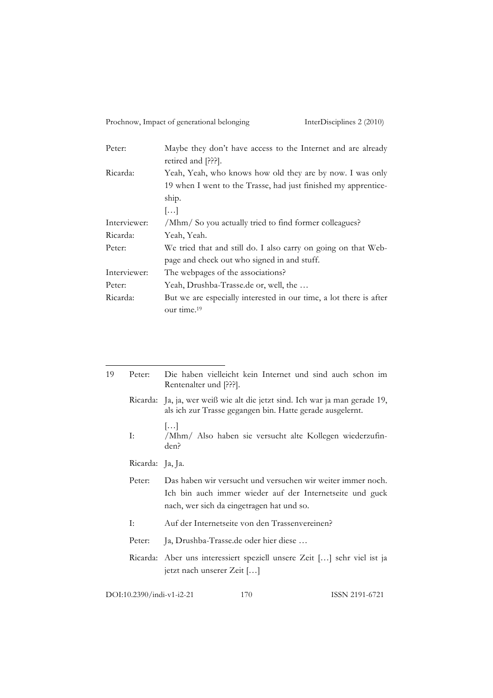| Peter:       | Maybe they don't have access to the Internet and are already       |
|--------------|--------------------------------------------------------------------|
|              | retired and [???].                                                 |
| Ricarda:     | Yeah, Yeah, who knows how old they are by now. I was only          |
|              | 19 when I went to the Trasse, had just finished my apprentice-     |
|              | ship.                                                              |
|              | $\left  \ldots \right $                                            |
| Interviewer: | /Mhm/ So you actually tried to find former colleagues?             |
| Ricarda:     | Yeah, Yeah.                                                        |
| Peter:       | We tried that and still do. I also carry on going on that Web-     |
|              | page and check out who signed in and stuff.                        |
| Interviewer: | The webpages of the associations?                                  |
| Peter:       | Yeah, Drushba-Trasse.de or, well, the                              |
| Ricarda:     | But we are especially interested in our time, a lot there is after |
|              | our time. <sup>19</sup>                                            |

| 19 | Peter:                                             | Die haben vielleicht kein Internet und sind auch schon im<br>Rentenalter und [???].                                                                                  |  |
|----|----------------------------------------------------|----------------------------------------------------------------------------------------------------------------------------------------------------------------------|--|
|    |                                                    | Ricarda: Ja, ja, wer weiß wie alt die jetzt sind. Ich war ja man gerade 19,<br>als ich zur Trasse gegangen bin. Hatte gerade ausgelernt.                             |  |
|    | I:                                                 | $\left[\ldots\right]$<br>/Mhm/ Also haben sie versucht alte Kollegen wiederzufin-<br>den?                                                                            |  |
|    | Ricarda: Ja, Ja.                                   |                                                                                                                                                                      |  |
|    | Peter:                                             | Das haben wir versucht und versuchen wir weiter immer noch.<br>Ich bin auch immer wieder auf der Internetseite und guck<br>nach, wer sich da eingetragen hat und so. |  |
|    | I:                                                 | Auf der Internetseite von den Trassenvereinen?                                                                                                                       |  |
|    | Peter:                                             | Ja, Drushba-Trasse.de oder hier diese                                                                                                                                |  |
|    |                                                    | Ricarda: Aber uns interessiert speziell unsere Zeit [] sehr viel ist ja<br>jetzt nach unserer Zeit []                                                                |  |
|    | DOI:10.2390/indi-v1-i2-21<br>ISSN 2191-6721<br>170 |                                                                                                                                                                      |  |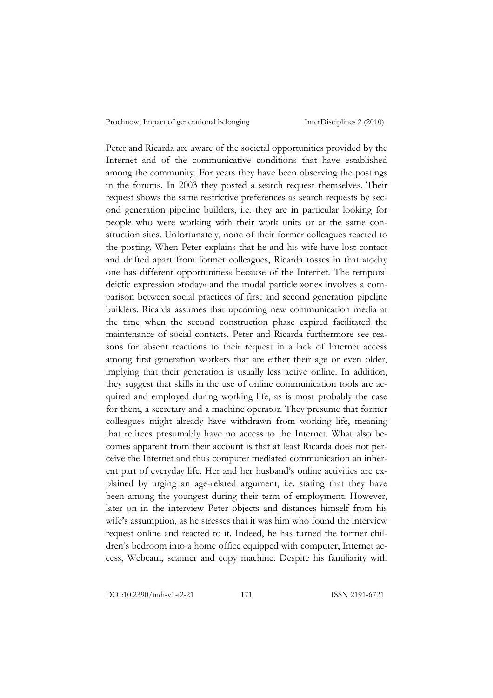Peter and Ricarda are aware of the societal opportunities provided by the Internet and of the communicative conditions that have established among the community. For years they have been observing the postings in the forums. In 2003 they posted a search request themselves. Their request shows the same restrictive preferences as search requests by second generation pipeline builders, i.e. they are in particular looking for people who were working with their work units or at the same construction sites. Unfortunately, none of their former colleagues reacted to the posting. When Peter explains that he and his wife have lost contact and drifted apart from former colleagues, Ricarda tosses in that »today one has different opportunities« because of the Internet. The temporal deictic expression »today« and the modal particle »one« involves a comparison between social practices of first and second generation pipeline builders. Ricarda assumes that upcoming new communication media at the time when the second construction phase expired facilitated the maintenance of social contacts. Peter and Ricarda furthermore see reasons for absent reactions to their request in a lack of Internet access among first generation workers that are either their age or even older, implying that their generation is usually less active online. In addition, they suggest that skills in the use of online communication tools are acquired and employed during working life, as is most probably the case for them, a secretary and a machine operator. They presume that former colleagues might already have withdrawn from working life, meaning that retirees presumably have no access to the Internet. What also becomes apparent from their account is that at least Ricarda does not perceive the Internet and thus computer mediated communication an inherent part of everyday life. Her and her husband's online activities are explained by urging an age-related argument, i.e. stating that they have been among the youngest during their term of employment. However, later on in the interview Peter objects and distances himself from his wife's assumption, as he stresses that it was him who found the interview request online and reacted to it. Indeed, he has turned the former children's bedroom into a home office equipped with computer, Internet access, Webcam, scanner and copy machine. Despite his familiarity with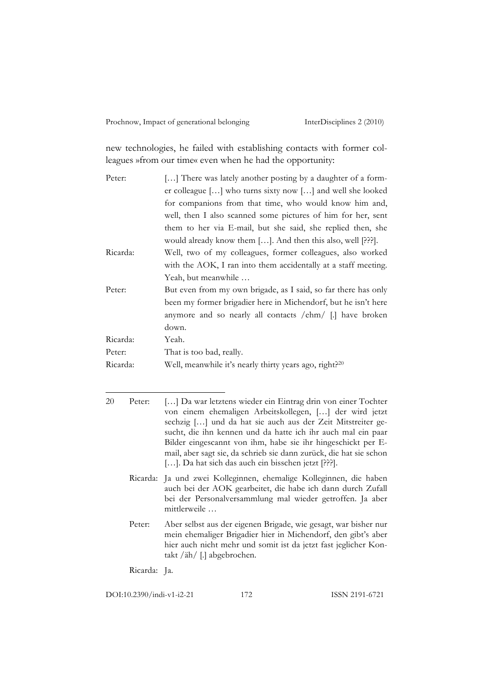new technologies, he failed with establishing contacts with former colleagues »from our time« even when he had the opportunity:

| Peter:   | [] There was lately another posting by a daughter of a form-       |
|----------|--------------------------------------------------------------------|
|          | er colleague [] who turns sixty now [] and well she looked         |
|          | for companions from that time, who would know him and,             |
|          | well, then I also scanned some pictures of him for her, sent       |
|          | them to her via E-mail, but she said, she replied then, she        |
|          | would already know them []. And then this also, well [???].        |
| Ricarda: | Well, two of my colleagues, former colleagues, also worked         |
|          | with the AOK, I ran into them accidentally at a staff meeting.     |
|          | Yeah, but meanwhile                                                |
| Peter:   | But even from my own brigade, as I said, so far there has only     |
|          | been my former brigadier here in Michendorf, but he isn't here     |
|          | anymore and so nearly all contacts /ehm/ [.] have broken           |
|          | down.                                                              |
| Ricarda: | Yeah.                                                              |
| Peter:   | That is too bad, really.                                           |
| Ricarda: | Well, meanwhile it's nearly thirty years ago, right? <sup>20</sup> |
|          |                                                                    |

<sup>20</sup> Peter: […] Da war letztens wieder ein Eintrag drin von einer Tochter von einem ehemaligen Arbeitskollegen, […] der wird jetzt sechzig […] und da hat sie auch aus der Zeit Mitstreiter gesucht, die ihn kennen und da hatte ich ihr auch mal ein paar Bilder eingescannt von ihm, habe sie ihr hingeschickt per Email, aber sagt sie, da schrieb sie dann zurück, die hat sie schon [...]. Da hat sich das auch ein bisschen jetzt [???].

- Ricarda: Ja und zwei Kolleginnen, ehemalige Kolleginnen, die haben auch bei der AOK gearbeitet, die habe ich dann durch Zufall bei der Personalversammlung mal wieder getroffen. Ja aber mittlerweile …
- Peter: Aber selbst aus der eigenen Brigade, wie gesagt, war bisher nur mein ehemaliger Brigadier hier in Michendorf, den gibt's aber hier auch nicht mehr und somit ist da jetzt fast jeglicher Kontakt /äh/ [.] abgebrochen.

Ricarda: Ja.

DOI:10.2390/indi-v1-i2-21 172 ISSN 2191-6721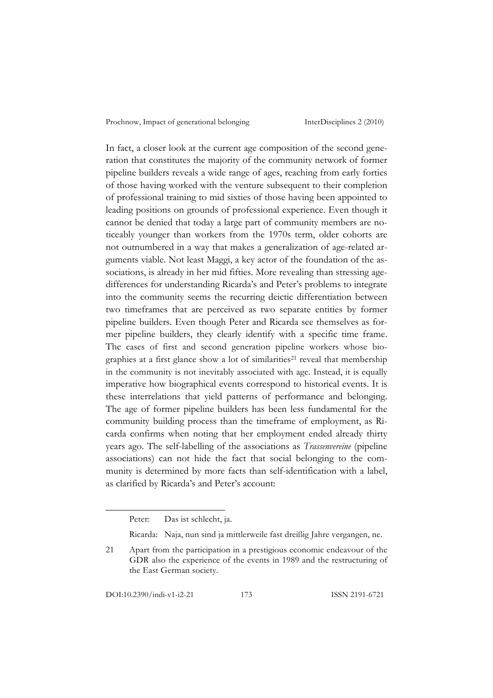In fact, a closer look at the current age composition of the second generation that constitutes the majority of the community network of former pipeline builders reveals a wide range of ages, reaching from early forties of those having worked with the venture subsequent to their completion of professional training to mid sixties of those having been appointed to leading positions on grounds of professional experience. Even though it cannot be denied that today a large part of community members are noticeably younger than workers from the 1970s term, older cohorts are not outnumbered in a way that makes a generalization of age-related arguments viable. Not least Maggi, a key actor of the foundation of the associations, is already in her mid fifties. More revealing than stressing agedifferences for understanding Ricarda's and Peter's problems to integrate into the community seems the recurring deictic differentiation between two timeframes that are perceived as two separate entities by former pipeline builders. Even though Peter and Ricarda see themselves as former pipeline builders, they clearly identify with a specific time frame. The cases of first and second generation pipeline workers whose biographies at a first glance show a lot of similarities<sup>21</sup> reveal that membership in the community is not inevitably associated with age. Instead, it is equally imperative how biographical events correspond to historical events. It is these interrelations that yield patterns of performance and belonging. The age of former pipeline builders has been less fundamental for the community building process than the timeframe of employment, as Ricarda confirms when noting that her employment ended already thirty years ago. The self-labelling of the associations as *Trassenvereine* (pipeline associations) can not hide the fact that social belonging to the community is determined by more facts than self-identification with a label, as clarified by Ricarda's and Peter's account:

DOI:10.2390/indi-v1-i2-21 173 ISSN 2191-6721

Peter: Das ist schlecht, ja.

Ricarda: Naja, nun sind ja mittlerweile fast dreißig Jahre vergangen, ne.

<sup>21</sup> Apart from the participation in a prestigious economic endeavour of the GDR also the experience of the events in 1989 and the restructuring of the East German society.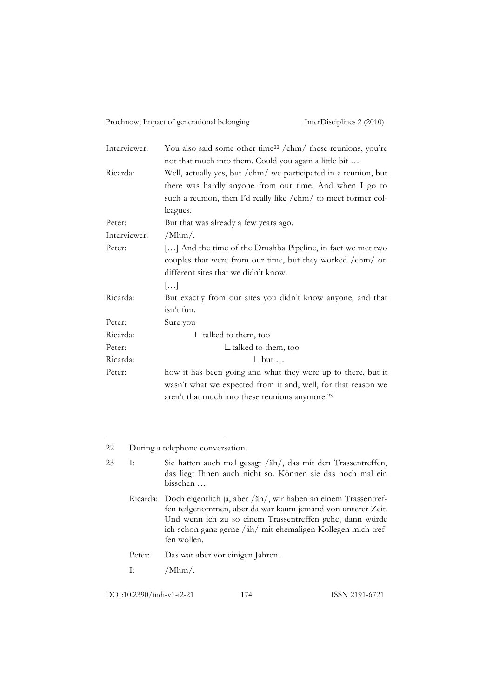| Interviewer: | You also said some other time <sup>22</sup> /ehm/ these reunions, you're |
|--------------|--------------------------------------------------------------------------|
|              | not that much into them. Could you again a little bit                    |
| Ricarda:     | Well, actually yes, but /ehm/ we participated in a reunion, but          |
|              | there was hardly anyone from our time. And when I go to                  |
|              | such a reunion, then I'd really like /ehm/ to meet former col-           |
|              | leagues.                                                                 |
| Peter:       | But that was already a few years ago.                                    |
| Interviewer: | $/Mhm/$ .                                                                |
| Peter:       | [] And the time of the Drushba Pipeline, in fact we met two              |
|              | couples that were from our time, but they worked /ehm/ on                |
|              | different sites that we didn't know.                                     |
|              | $\left[\ldots\right]$                                                    |
| Ricarda:     | But exactly from our sites you didn't know anyone, and that              |
|              | isn't fun.                                                               |
| Peter:       | Sure you                                                                 |
| Ricarda:     | $\mathrel{\sqsubset}$ talked to them, too                                |
| Peter:       | $\mathsf{\sqsubseteq}$ talked to them, too                               |
| Ricarda:     | $\mathsf{\sqcup}$ but $\ldots$                                           |
| Peter:       | how it has been going and what they were up to there, but it             |
|              | wasn't what we expected from it and, well, for that reason we            |
|              | aren't that much into these reunions anymore. <sup>23</sup>              |

22 During a telephone conversation.

23 I: Sie hatten auch mal gesagt /äh/, das mit den Trassentreffen, das liegt Ihnen auch nicht so. Können sie das noch mal ein bisschen …

Ricarda: Doch eigentlich ja, aber /äh/, wir haben an einem Trassentreffen teilgenommen, aber da war kaum jemand von unserer Zeit. Und wenn ich zu so einem Trassentreffen gehe, dann würde ich schon ganz gerne /äh/ mit ehemaligen Kollegen mich treffen wollen.

Peter: Das war aber vor einigen Jahren.

I:  $/Mhm/$ .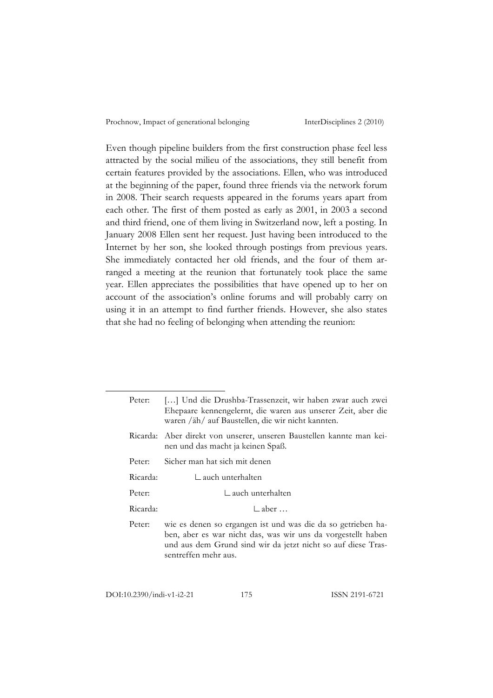Even though pipeline builders from the first construction phase feel less attracted by the social milieu of the associations, they still benefit from certain features provided by the associations. Ellen, who was introduced at the beginning of the paper, found three friends via the network forum in 2008. Their search requests appeared in the forums years apart from each other. The first of them posted as early as 2001, in 2003 a second and third friend, one of them living in Switzerland now, left a posting. In January 2008 Ellen sent her request. Just having been introduced to the Internet by her son, she looked through postings from previous years. She immediately contacted her old friends, and the four of them arranged a meeting at the reunion that fortunately took place the same year. Ellen appreciates the possibilities that have opened up to her on account of the association's online forums and will probably carry on using it in an attempt to find further friends. However, she also states that she had no feeling of belonging when attending the reunion:

DOI:10.2390/indi-v1-i2-21 175 ISSN 2191-6721

Peter: […] Und die Drushba-Trassenzeit, wir haben zwar auch zwei Ehepaare kennengelernt, die waren aus unserer Zeit, aber die waren /äh/ auf Baustellen, die wir nicht kannten. Ricarda: Aber direkt von unserer, unseren Baustellen kannte man keinen und das macht ja keinen Spaß. Peter: Sicher man hat sich mit denen Ricarda: ∟auch unterhalten Peter: ∟auch unterhalten Ricarda: ∟aber … Peter: wie es denen so ergangen ist und was die da so getrieben haben, aber es war nicht das, was wir uns da vorgestellt haben und aus dem Grund sind wir da jetzt nicht so auf diese Trassentreffen mehr aus.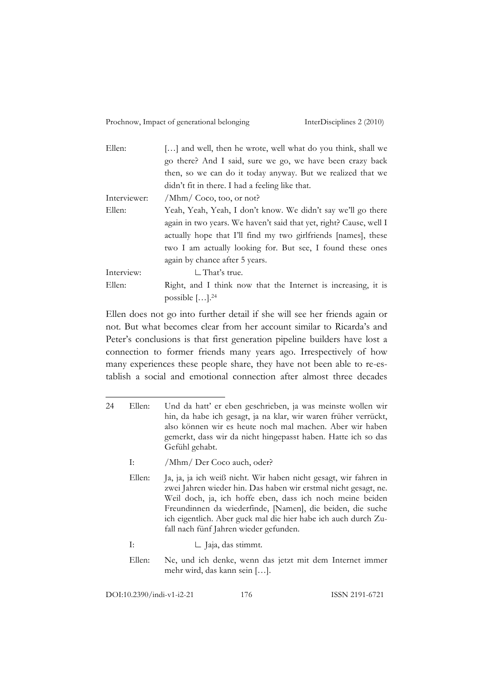| Ellen:       | [] and well, then he wrote, well what do you think, shall we       |
|--------------|--------------------------------------------------------------------|
|              | go there? And I said, sure we go, we have been crazy back          |
|              | then, so we can do it today anyway. But we realized that we        |
|              | didn't fit in there. I had a feeling like that.                    |
| Interviewer: | /Mhm/ Coco, too, or not?                                           |
| Ellen:       | Yeah, Yeah, Yeah, I don't know. We didn't say we'll go there       |
|              | again in two years. We haven't said that yet, right? Cause, well I |
|              | actually hope that I'll find my two girlfriends [names], these     |
|              | two I am actually looking for. But see, I found these ones         |
|              | again by chance after 5 years.                                     |
| Interview:   | $\Box$ That's true.                                                |
| Ellen:       | Right, and I think now that the Internet is increasing, it is      |
|              | possible $[\dots]$ . <sup>24</sup>                                 |

Ellen does not go into further detail if she will see her friends again or not. But what becomes clear from her account similar to Ricarda's and Peter's conclusions is that first generation pipeline builders have lost a connection to former friends many years ago. Irrespectively of how many experiences these people share, they have not been able to re-establish a social and emotional connection after almost three decades

- I: /Mhm/ Der Coco auch, oder?
- Ellen: Ja, ja, ja ich weiß nicht. Wir haben nicht gesagt, wir fahren in zwei Jahren wieder hin. Das haben wir erstmal nicht gesagt, ne. Weil doch, ja, ich hoffe eben, dass ich noch meine beiden Freundinnen da wiederfinde, [Namen], die beiden, die suche ich eigentlich. Aber guck mal die hier habe ich auch durch Zufall nach fünf Jahren wieder gefunden.
- I: ∟ Jaja, das stimmt.
- Ellen: Ne, und ich denke, wenn das jetzt mit dem Internet immer mehr wird, das kann sein […].

DOI:10.2390/indi-v1-i2-21 176 ISSN 2191-6721

<sup>24</sup> Ellen: Und da hatt' er eben geschrieben, ja was meinste wollen wir hin, da habe ich gesagt, ja na klar, wir waren früher verrückt, also können wir es heute noch mal machen. Aber wir haben gemerkt, dass wir da nicht hingepasst haben. Hatte ich so das Gefühl gehabt.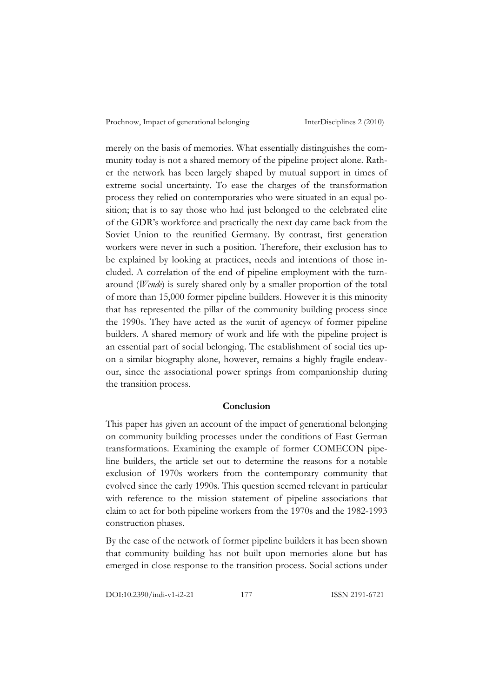merely on the basis of memories. What essentially distinguishes the community today is not a shared memory of the pipeline project alone. Rather the network has been largely shaped by mutual support in times of extreme social uncertainty. To ease the charges of the transformation process they relied on contemporaries who were situated in an equal position; that is to say those who had just belonged to the celebrated elite of the GDR's workforce and practically the next day came back from the Soviet Union to the reunified Germany. By contrast, first generation workers were never in such a position. Therefore, their exclusion has to be explained by looking at practices, needs and intentions of those included. A correlation of the end of pipeline employment with the turnaround (*Wende*) is surely shared only by a smaller proportion of the total of more than 15,000 former pipeline builders. However it is this minority that has represented the pillar of the community building process since the 1990s. They have acted as the »unit of agency« of former pipeline builders. A shared memory of work and life with the pipeline project is an essential part of social belonging. The establishment of social ties upon a similar biography alone, however, remains a highly fragile endeavour, since the associational power springs from companionship during the transition process.

#### **Conclusion**

This paper has given an account of the impact of generational belonging on community building processes under the conditions of East German transformations. Examining the example of former COMECON pipeline builders, the article set out to determine the reasons for a notable exclusion of 1970s workers from the contemporary community that evolved since the early 1990s. This question seemed relevant in particular with reference to the mission statement of pipeline associations that claim to act for both pipeline workers from the 1970s and the 1982-1993 construction phases.

By the case of the network of former pipeline builders it has been shown that community building has not built upon memories alone but has emerged in close response to the transition process. Social actions under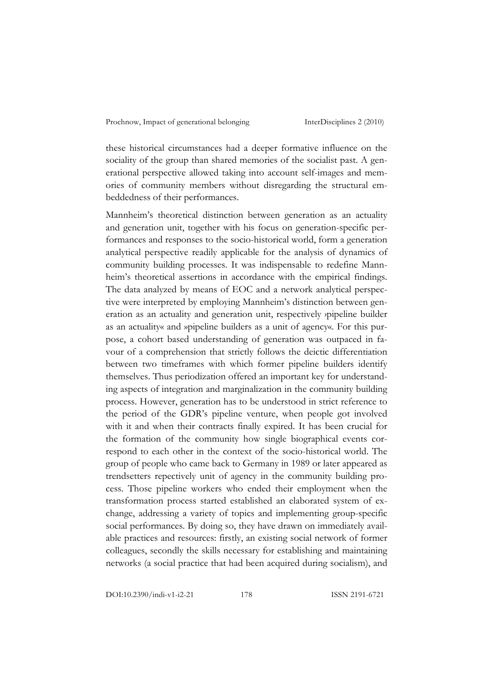these historical circumstances had a deeper formative influence on the sociality of the group than shared memories of the socialist past. A generational perspective allowed taking into account self-images and memories of community members without disregarding the structural embeddedness of their performances.

Mannheim's theoretical distinction between generation as an actuality and generation unit, together with his focus on generation-specific performances and responses to the socio-historical world, form a generation analytical perspective readily applicable for the analysis of dynamics of community building processes. It was indispensable to redefine Mannheim's theoretical assertions in accordance with the empirical findings. The data analyzed by means of EOC and a network analytical perspective were interpreted by employing Mannheim's distinction between generation as an actuality and generation unit, respectively ›pipeline builder as an actuality« and »pipeline builders as a unit of agency«. For this purpose, a cohort based understanding of generation was outpaced in favour of a comprehension that strictly follows the deictic differentiation between two timeframes with which former pipeline builders identify themselves. Thus periodization offered an important key for understanding aspects of integration and marginalization in the community building process. However, generation has to be understood in strict reference to the period of the GDR's pipeline venture, when people got involved with it and when their contracts finally expired. It has been crucial for the formation of the community how single biographical events correspond to each other in the context of the socio-historical world. The group of people who came back to Germany in 1989 or later appeared as trendsetters repectively unit of agency in the community building process. Those pipeline workers who ended their employment when the transformation process started established an elaborated system of exchange, addressing a variety of topics and implementing group-specific social performances. By doing so, they have drawn on immediately available practices and resources: firstly, an existing social network of former colleagues, secondly the skills necessary for establishing and maintaining networks (a social practice that had been acquired during socialism), and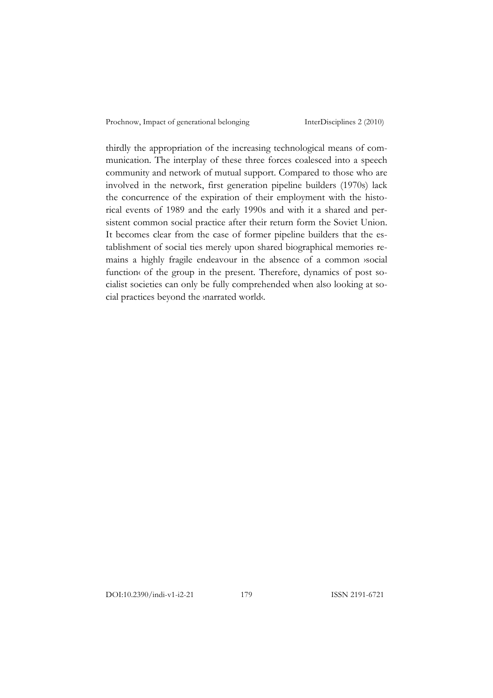thirdly the appropriation of the increasing technological means of communication. The interplay of these three forces coalesced into a speech community and network of mutual support. Compared to those who are involved in the network, first generation pipeline builders (1970s) lack the concurrence of the expiration of their employment with the historical events of 1989 and the early 1990s and with it a shared and persistent common social practice after their return form the Soviet Union. It becomes clear from the case of former pipeline builders that the establishment of social ties merely upon shared biographical memories remains a highly fragile endeavour in the absence of a common ›social function of the group in the present. Therefore, dynamics of post socialist societies can only be fully comprehended when also looking at social practices beyond the ›narrated world‹.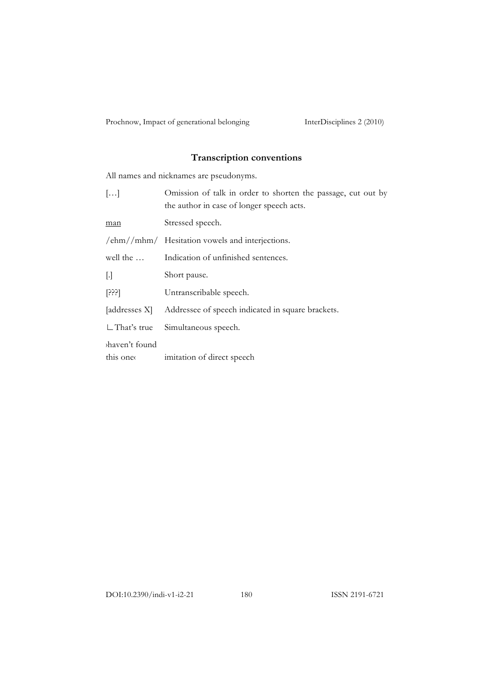# **Transcription conventions**

All names and nicknames are pseudonyms.

| $\left[\ldots\right]$     | Omission of talk in order to shorten the passage, cut out by<br>the author in case of longer speech acts. |
|---------------------------|-----------------------------------------------------------------------------------------------------------|
| man                       | Stressed speech.                                                                                          |
|                           | $\text{/ehm}/\text{/mhm}/\text{Hesitation}$ vowels and interjections.                                     |
| well the                  | Indication of unfinished sentences.                                                                       |
| IJ                        | Short pause.                                                                                              |
| [333]                     | Untranscribable speech.                                                                                   |
| [addresses X]             | Addressee of speech indicated in square brackets.                                                         |
| $\Box$ That's true        | Simultaneous speech.                                                                                      |
| haven't found<br>this one | imitation of direct speech                                                                                |

DOI:10.2390/indi-v1-i2-21 180 ISSN 2191-6721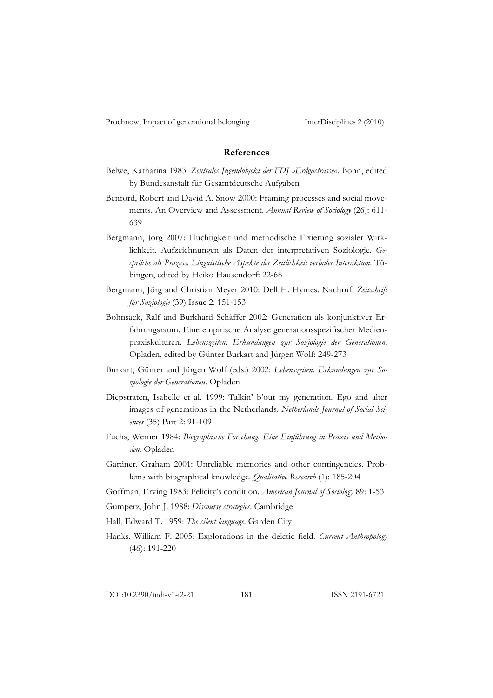## **References**

- Belwe, Katharina 1983: *Zentrales Jugendobjekt der FDJ »Erdgastrasse«*. Bonn, edited by Bundesanstalt für Gesamtdeutsche Aufgaben
- Benford, Robert and David A. Snow 2000: Framing processes and social movements. An Overview and Assessment. *Annual Review of Sociology* (26): 611- 639
- Bergmann, Jörg 2007: Flüchtigkeit und methodische Fixierung sozialer Wirklichkeit. Aufzeichnungen als Daten der interpretativen Soziologie. *Gespräche als Prozess. Linguistische Aspekte der Zeitlichkeit verbaler Interaktion*. Tübingen, edited by Heiko Hausendorf: 22-68
- Bergmann, Jörg and Christian Meyer 2010: Dell H. Hymes. Nachruf. *Zeitschrift für Soziologie* (39) Issue 2: 151-153
- Bohnsack, Ralf and Burkhard Schäffer 2002: Generation als konjunktiver Erfahrungsraum. Eine empirische Analyse generationsspezifischer Medienpraxiskulturen. *Lebenszeiten. Erkundungen zur Soziologie der Generationen*. Opladen, edited by Günter Burkart and Jürgen Wolf: 249-273
- Burkart, Günter and Jürgen Wolf (eds.) 2002: *Lebenszeiten. Erkundungen zur Soziologie der Generationen*. Opladen
- Diepstraten, Isabelle et al. 1999: Talkin' b'out my generation. Ego and alter images of generations in the Netherlands. *Netherlands Journal of Social Sciences* (35) Part 2: 91-109
- Fuchs, Werner 1984: *Biographische Forschung. Eine Einführung in Praxis und Methoden.* Opladen
- Gardner, Graham 2001: Unreliable memories and other contingencies. Problems with biographical knowledge. *Qualitative Research* (1): 185-204
- Goffman, Erving 1983: Felicity's condition. *American Journal of Sociology* 89: 1-53
- Gumperz, John J. 1988: *Discourse strategies*. Cambridge
- Hall, Edward T. 1959: *The silent language*. Garden City
- Hanks, William F. 2005: Explorations in the deictic field. *Current Anthropology* (46): 191-220

DOI:10.2390/indi-v1-i2-21 181 ISSN 2191-6721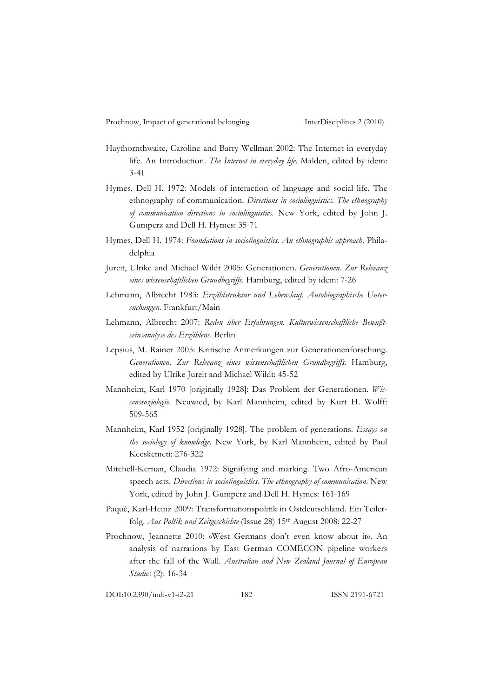- Haythornthwaite, Caroline and Barry Wellman 2002: The Internet in everyday life. An Introduction. *The Internet in everyday life*. Malden, edited by idem: 3-41
- Hymes, Dell H. 1972: Models of interaction of language and social life. The ethnography of communication. *Directions in sociolinguistics. The ethnography of communication directions in sociolinguistics.* New York, edited by John J. Gumperz and Dell H. Hymes: 35-71
- Hymes, Dell H. 1974: *Foundations in sociolinguistics. An ethnographic approach*. Philadelphia
- Jureit, Ulrike and Michael Wildt 2005: Generationen. *Generationen. Zur Relevanz eines wissenschaftlichen Grundbegriffs*. Hamburg, edited by idem: 7-26
- Lehmann, Albrecht 1983: *Erzählstruktur und Lebenslauf. Autobiographische Untersuchungen*. Frankfurt/Main
- Lehmann, Albrecht 2007: *Reden über Erfahrungen. Kulturwissenschaftliche Bewußtseinsanalyse des Erzählens*. Berlin
- Lepsius, M. Rainer 2005: Kritische Anmerkungen zur Generationenforschung. *Generationen. Zur Relevanz eines wissenschaftlichen Grundbegriffs*. Hamburg, edited by Ulrike Jureit and Michael Wildt: 45-52
- Mannheim, Karl 1970 [originally 1928]: Das Problem der Generationen. *Wissenssoziologie*. Neuwied, by Karl Mannheim, edited by Kurt H. Wolff: 509-565
- Mannheim, Karl 1952 [originally 1928]. The problem of generations. *Essays on the sociology of knowledge.* New York, by Karl Mannheim, edited by Paul Kecskemeti: 276-322
- Mitchell-Kernan, Claudia 1972: Signifying and marking. Two Afro-American speech acts. *Directions in sociolinguistics. The ethnography of communication*. New York, edited by John J. Gumperz and Dell H. Hymes: 161-169
- Paqué, Karl-Heinz 2009: Transformationspolitik in Ostdeutschland. Ein Teilerfolg. *Aus Poltik und Zeitgeschichte* (Issue 28) 15th August 2008: 22-27
- Prochnow, Jeannette 2010: »West Germans don't even know about it«. An analysis of narrations by East German COMECON pipeline workers after the fall of the Wall. *Australian and New Zealand Journal of European Studies* (2): 16-34

DOI:10.2390/indi-v1-i2-21 182 ISSN 2191-6721